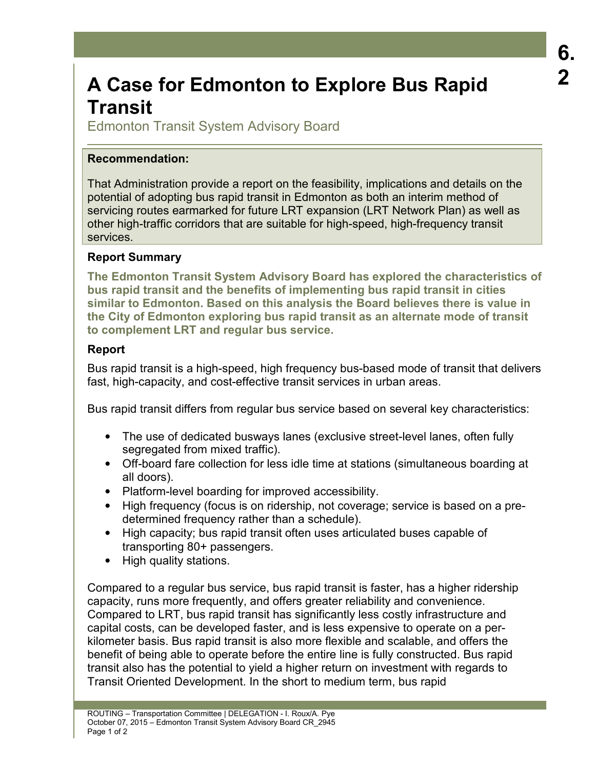# **A Case for Edmonton to Explore Bus Rapid Transit**

Edmonton Transit System Advisory Board

### **Recommendation:**

That Administration provide a report on the feasibility, implications and details on the potential of adopting bus rapid transit in Edmonton as both an interim method of servicing routes earmarked for future LRT expansion (LRT Network Plan) as well as other high-traffic corridors that are suitable for high-speed, high-frequency transit services.

#### **Report Summary**

**The Edmonton Transit System Advisory Board has explored the characteristics of bus rapid transit and the benefits of implementing bus rapid transit in cities similar to Edmonton. Based on this analysis the Board believes there is value in the City of Edmonton exploring bus rapid transit as an alternate mode of transit to complement LRT and regular bus service.** 

#### **Report**

Bus rapid transit is a high-speed, high frequency bus-based mode of transit that delivers fast, high-capacity, and cost-effective transit services in urban areas.

Bus rapid transit differs from regular bus service based on several key characteristics:

- The use of dedicated busways lanes (exclusive street-level lanes, often fully segregated from mixed traffic).
- Off-board fare collection for less idle time at stations (simultaneous boarding at all doors).
- Platform-level boarding for improved accessibility.
- High frequency (focus is on ridership, not coverage; service is based on a predetermined frequency rather than a schedule).
- High capacity; bus rapid transit often uses articulated buses capable of transporting 80+ passengers.
- High quality stations.

Compared to a regular bus service, bus rapid transit is faster, has a higher ridership capacity, runs more frequently, and offers greater reliability and convenience. Compared to LRT, bus rapid transit has significantly less costly infrastructure and capital costs, can be developed faster, and is less expensive to operate on a perkilometer basis. Bus rapid transit is also more flexible and scalable, and offers the benefit of being able to operate before the entire line is fully constructed. Bus rapid transit also has the potential to yield a higher return on investment with regards to Transit Oriented Development. In the short to medium term, bus rapid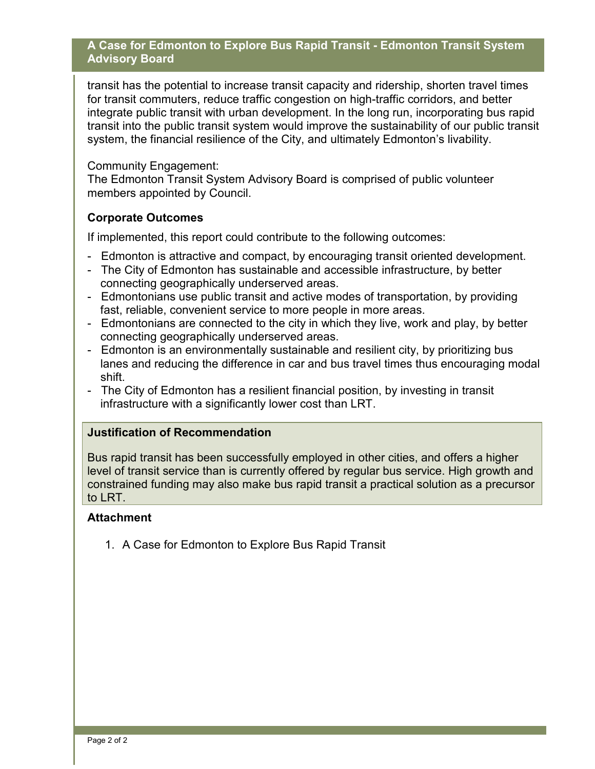#### **A Case for Edmonton to Explore Bus Rapid Transit - Edmonton Transit System Advisory Board**

transit has the potential to increase transit capacity and ridership, shorten travel times for transit commuters, reduce traffic congestion on high-traffic corridors, and better integrate public transit with urban development. In the long run, incorporating bus rapid transit into the public transit system would improve the sustainability of our public transit system, the financial resilience of the City, and ultimately Edmonton's livability.

Community Engagement:

The Edmonton Transit System Advisory Board is comprised of public volunteer members appointed by Council.

#### **Corporate Outcomes**

If implemented, this report could contribute to the following outcomes:

- Edmonton is attractive and compact, by encouraging transit oriented development.
- The City of Edmonton has sustainable and accessible infrastructure, by better connecting geographically underserved areas.
- Edmontonians use public transit and active modes of transportation, by providing fast, reliable, convenient service to more people in more areas.
- Edmontonians are connected to the city in which they live, work and play, by better connecting geographically underserved areas.
- Edmonton is an environmentally sustainable and resilient city, by prioritizing bus lanes and reducing the difference in car and bus travel times thus encouraging modal shift.
- The City of Edmonton has a resilient financial position, by investing in transit infrastructure with a significantly lower cost than LRT.

#### **Justification of Recommendation**

Bus rapid transit has been successfully employed in other cities, and offers a higher level of transit service than is currently offered by regular bus service. High growth and constrained funding may also make bus rapid transit a practical solution as a precursor to LRT.

#### **Attachment**

1. A Case for Edmonton to Explore Bus Rapid Transit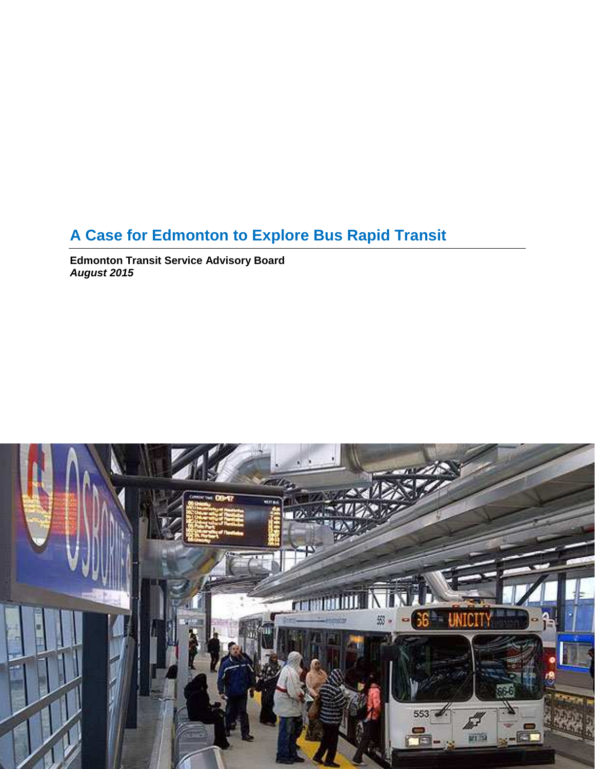## **A Case for Edmonton to Explore Bus Rapid Transit**

**Edmonton Transit Service Advisory Board August 2015** 

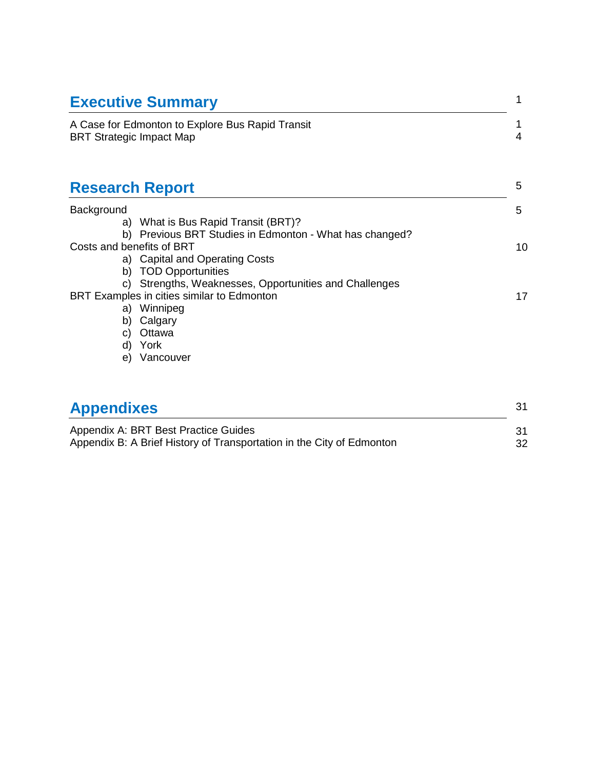| <b>Executive Summary</b>                                                                                                                       |    |
|------------------------------------------------------------------------------------------------------------------------------------------------|----|
| A Case for Edmonton to Explore Bus Rapid Transit<br><b>BRT Strategic Impact Map</b>                                                            |    |
| <b>Research Report</b>                                                                                                                         | 5  |
| Background                                                                                                                                     | 5  |
| a) What is Bus Rapid Transit (BRT)?                                                                                                            |    |
| b) Previous BRT Studies in Edmonton - What has changed?<br>Costs and benefits of BRT<br>a) Capital and Operating Costs<br>b) TOD Opportunities | 10 |
| c) Strengths, Weaknesses, Opportunities and Challenges<br>BRT Examples in cities similar to Edmonton<br>a) Winnipeg<br>b) Calgary              | 17 |
| Ottawa<br>C)<br>d) York<br>Vancouver<br>e)                                                                                                     |    |
| <b>Appendixes</b>                                                                                                                              | 31 |

| <b>TPPVINING</b>                                                      |    |
|-----------------------------------------------------------------------|----|
| Appendix A: BRT Best Practice Guides                                  |    |
|                                                                       |    |
| Appendix B: A Brief History of Transportation in the City of Edmonton | 32 |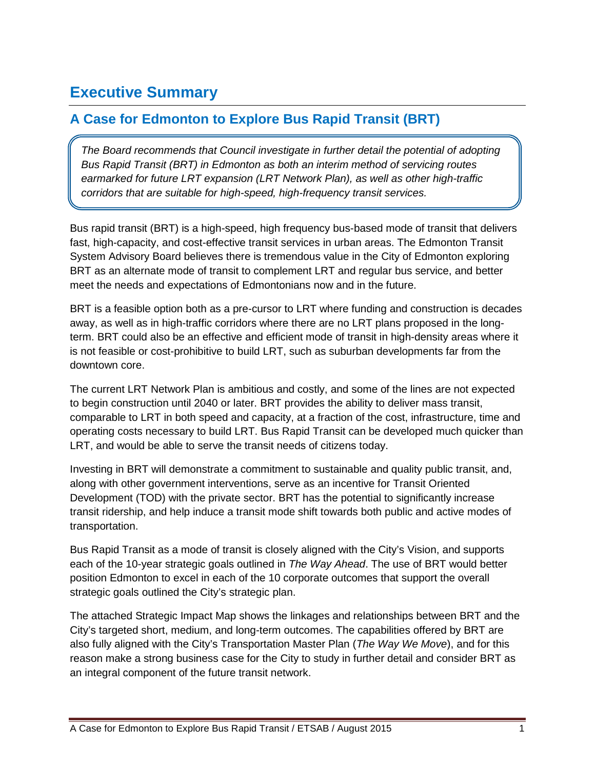## **Executive Summary**

## **A Case for Edmonton to Explore Bus Rapid Transit (BRT)**

The Board recommends that Council investigate in further detail the potential of adopting Bus Rapid Transit (BRT) in Edmonton as both an interim method of servicing routes earmarked for future LRT expansion (LRT Network Plan), as well as other high-traffic corridors that are suitable for high-speed, high-frequency transit services.

Bus rapid transit (BRT) is a high-speed, high frequency bus-based mode of transit that delivers fast, high-capacity, and cost-effective transit services in urban areas. The Edmonton Transit System Advisory Board believes there is tremendous value in the City of Edmonton exploring BRT as an alternate mode of transit to complement LRT and regular bus service, and better meet the needs and expectations of Edmontonians now and in the future.

BRT is a feasible option both as a pre-cursor to LRT where funding and construction is decades away, as well as in high-traffic corridors where there are no LRT plans proposed in the longterm. BRT could also be an effective and efficient mode of transit in high-density areas where it is not feasible or cost-prohibitive to build LRT, such as suburban developments far from the downtown core.

The current LRT Network Plan is ambitious and costly, and some of the lines are not expected to begin construction until 2040 or later. BRT provides the ability to deliver mass transit, comparable to LRT in both speed and capacity, at a fraction of the cost, infrastructure, time and operating costs necessary to build LRT. Bus Rapid Transit can be developed much quicker than LRT, and would be able to serve the transit needs of citizens today.

Investing in BRT will demonstrate a commitment to sustainable and quality public transit, and, along with other government interventions, serve as an incentive for Transit Oriented Development (TOD) with the private sector. BRT has the potential to significantly increase transit ridership, and help induce a transit mode shift towards both public and active modes of transportation.

Bus Rapid Transit as a mode of transit is closely aligned with the City's Vision, and supports each of the 10-year strategic goals outlined in The Way Ahead. The use of BRT would better position Edmonton to excel in each of the 10 corporate outcomes that support the overall strategic goals outlined the City's strategic plan.

The attached Strategic Impact Map shows the linkages and relationships between BRT and the City's targeted short, medium, and long-term outcomes. The capabilities offered by BRT are also fully aligned with the City's Transportation Master Plan (The Way We Move), and for this reason make a strong business case for the City to study in further detail and consider BRT as an integral component of the future transit network.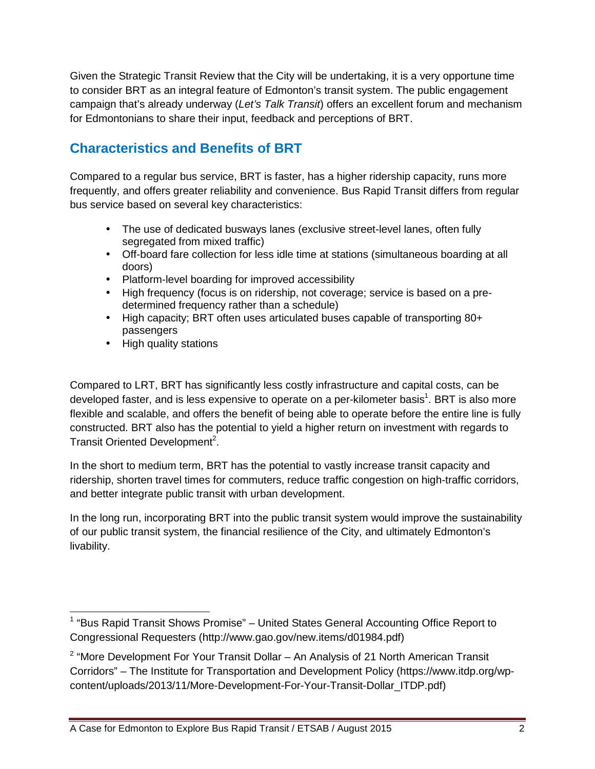Given the Strategic Transit Review that the City will be undertaking, it is a very opportune time to consider BRT as an integral feature of Edmonton's transit system. The public engagement campaign that's already underway (Let's Talk Transit) offers an excellent forum and mechanism for Edmontonians to share their input, feedback and perceptions of BRT.

## **Characteristics and Benefits of BRT**

Compared to a regular bus service, BRT is faster, has a higher ridership capacity, runs more frequently, and offers greater reliability and convenience. Bus Rapid Transit differs from regular bus service based on several key characteristics:

- The use of dedicated busways lanes (exclusive street-level lanes, often fully segregated from mixed traffic)
- Off-board fare collection for less idle time at stations (simultaneous boarding at all doors)
- Platform-level boarding for improved accessibility
- High frequency (focus is on ridership, not coverage; service is based on a predetermined frequency rather than a schedule)
- High capacity; BRT often uses articulated buses capable of transporting 80+ passengers
- High quality stations

-

Compared to LRT, BRT has significantly less costly infrastructure and capital costs, can be developed faster, and is less expensive to operate on a per-kilometer basis<sup>1</sup>. BRT is also more flexible and scalable, and offers the benefit of being able to operate before the entire line is fully constructed. BRT also has the potential to yield a higher return on investment with regards to Transit Oriented Development<sup>2</sup>.

In the short to medium term, BRT has the potential to vastly increase transit capacity and ridership, shorten travel times for commuters, reduce traffic congestion on high-traffic corridors, and better integrate public transit with urban development.

In the long run, incorporating BRT into the public transit system would improve the sustainability of our public transit system, the financial resilience of the City, and ultimately Edmonton's livability.

<sup>&</sup>lt;sup>1</sup> "Bus Rapid Transit Shows Promise" – United States General Accounting Office Report to Congressional Requesters (http://www.gao.gov/new.items/d01984.pdf)

 $2$  "More Development For Your Transit Dollar – An Analysis of 21 North American Transit Corridors" – The Institute for Transportation and Development Policy (https://www.itdp.org/wpcontent/uploads/2013/11/More-Development-For-Your-Transit-Dollar\_ITDP.pdf)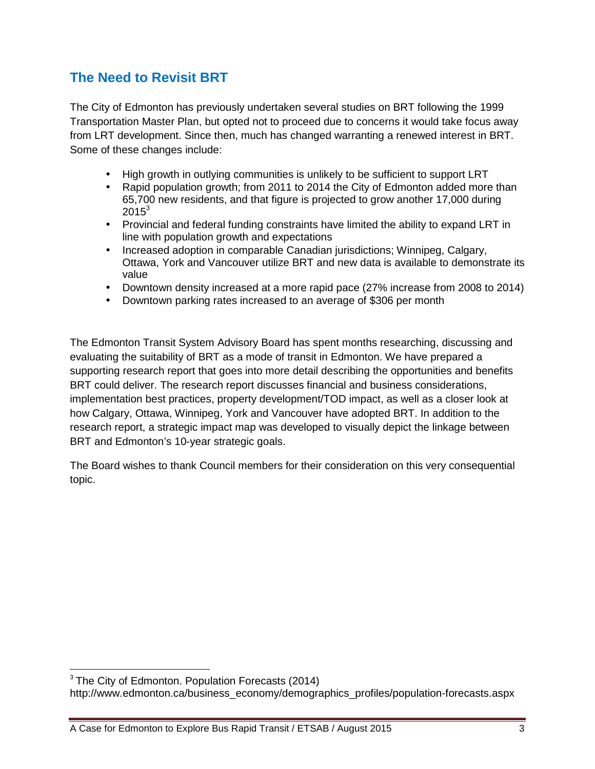## **The Need to Revisit BRT**

The City of Edmonton has previously undertaken several studies on BRT following the 1999 Transportation Master Plan, but opted not to proceed due to concerns it would take focus away from LRT development. Since then, much has changed warranting a renewed interest in BRT. Some of these changes include:

- High growth in outlying communities is unlikely to be sufficient to support LRT
- Rapid population growth; from 2011 to 2014 the City of Edmonton added more than 65,700 new residents, and that figure is projected to grow another 17,000 during  $2015^3$
- Provincial and federal funding constraints have limited the ability to expand LRT in line with population growth and expectations
- Increased adoption in comparable Canadian jurisdictions; Winnipeg, Calgary, Ottawa, York and Vancouver utilize BRT and new data is available to demonstrate its value
- Downtown density increased at a more rapid pace (27% increase from 2008 to 2014)
- Downtown parking rates increased to an average of \$306 per month

The Edmonton Transit System Advisory Board has spent months researching, discussing and evaluating the suitability of BRT as a mode of transit in Edmonton. We have prepared a supporting research report that goes into more detail describing the opportunities and benefits BRT could deliver. The research report discusses financial and business considerations, implementation best practices, property development/TOD impact, as well as a closer look at how Calgary, Ottawa, Winnipeg, York and Vancouver have adopted BRT. In addition to the research report, a strategic impact map was developed to visually depict the linkage between BRT and Edmonton's 10-year strategic goals.

The Board wishes to thank Council members for their consideration on this very consequential topic.

1

<sup>&</sup>lt;sup>3</sup> The City of Edmonton. Population Forecasts (2014)

http://www.edmonton.ca/business\_economy/demographics\_profiles/population-forecasts.aspx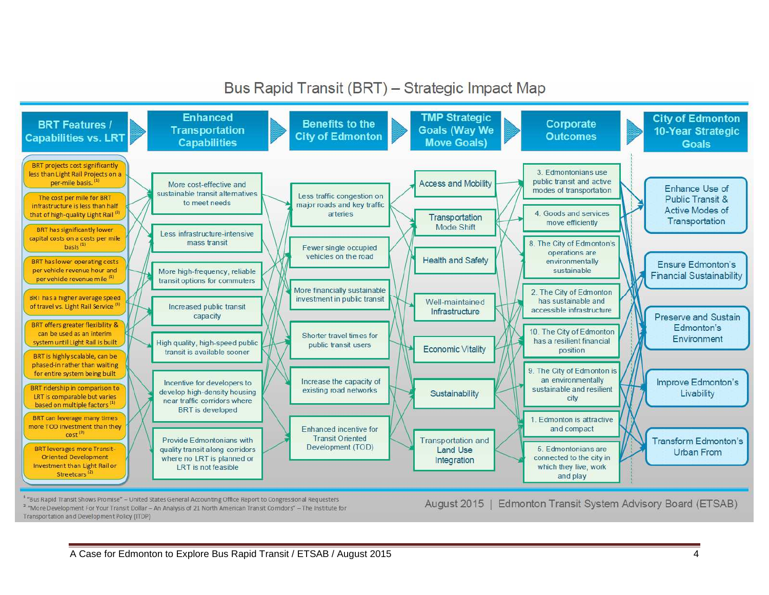Bus Rapid Transit (BRT) - Strategic Impact Map

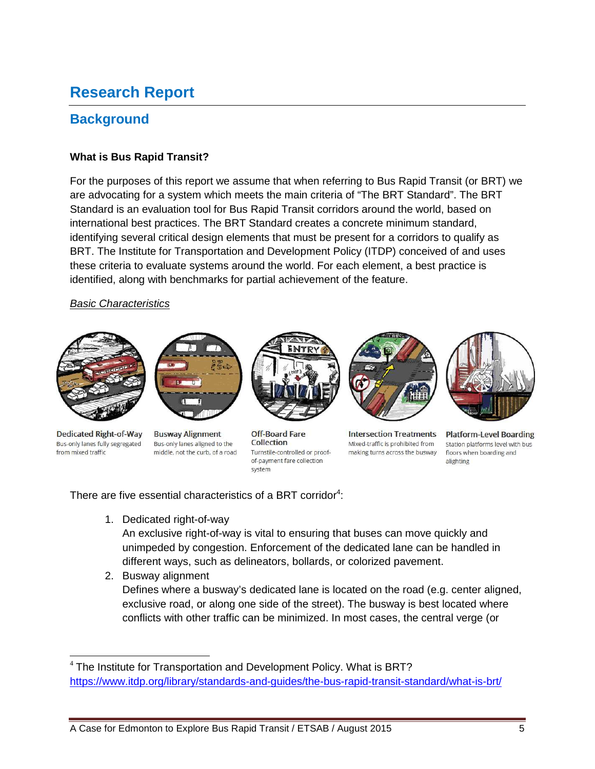## **Research Report**

## **Background**

#### **What is Bus Rapid Transit?**

For the purposes of this report we assume that when referring to Bus Rapid Transit (or BRT) we are advocating for a system which meets the main criteria of "The BRT Standard". The BRT Standard is an evaluation tool for Bus Rapid Transit corridors around the world, based on international best practices. The BRT Standard creates a concrete minimum standard, identifying several critical design elements that must be present for a corridors to qualify as BRT. The Institute for Transportation and Development Policy (ITDP) conceived of and uses these criteria to evaluate systems around the world. For each element, a best practice is identified, along with benchmarks for partial achievement of the feature.

#### Basic Characteristics



**Dedicated Right-of-Way** Bus-only lanes fully segregated from mixed traffic



**Busway Alignment** Bus-only lanes aligned to the middle, not the curb, of a road



**Off-Board Fare** Collection Turnstile-controlled or proofof-payment fare collection system



**Intersection Treatments** Mixed-traffic is prohibited from making turns across the busway



**Platform-Level Boarding** Station platforms level with bus floors when boarding and alighting

There are five essential characteristics of a BRT corridor<sup>4</sup>:

1. Dedicated right-of-way

An exclusive right-of-way is vital to ensuring that buses can move quickly and unimpeded by congestion. Enforcement of the dedicated lane can be handled in different ways, such as delineators, bollards, or colorized pavement.

2. Busway alignment

Defines where a busway's dedicated lane is located on the road (e.g. center aligned, exclusive road, or along one side of the street). The busway is best located where conflicts with other traffic can be minimized. In most cases, the central verge (or

 $\overline{a}$ <sup>4</sup> The Institute for Transportation and Development Policy. What is BRT? https://www.itdp.org/library/standards-and-guides/the-bus-rapid-transit-standard/what-is-brt/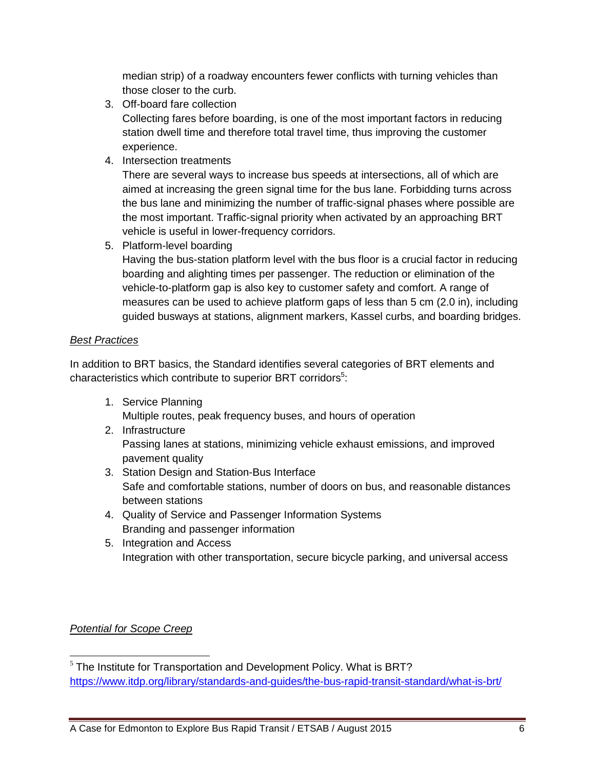median strip) of a roadway encounters fewer conflicts with turning vehicles than those closer to the curb.

3. Off-board fare collection

Collecting fares before boarding, is one of the most important factors in reducing station dwell time and therefore total travel time, thus improving the customer experience.

4. Intersection treatments

There are several ways to increase bus speeds at intersections, all of which are aimed at increasing the green signal time for the bus lane. Forbidding turns across the bus lane and minimizing the number of traffic-signal phases where possible are the most important. Traffic-signal priority when activated by an approaching BRT vehicle is useful in lower-frequency corridors.

5. Platform-level boarding

Having the bus-station platform level with the bus floor is a crucial factor in reducing boarding and alighting times per passenger. The reduction or elimination of the vehicle-to-platform gap is also key to customer safety and comfort. A range of measures can be used to achieve platform gaps of less than 5 cm (2.0 in), including guided busways at stations, alignment markers, Kassel curbs, and boarding bridges.

#### Best Practices

In addition to BRT basics, the Standard identifies several categories of BRT elements and characteristics which contribute to superior BRT corridors<sup>5</sup>:

- 1. Service Planning Multiple routes, peak frequency buses, and hours of operation
- 2. Infrastructure Passing lanes at stations, minimizing vehicle exhaust emissions, and improved pavement quality
- 3. Station Design and Station-Bus Interface Safe and comfortable stations, number of doors on bus, and reasonable distances between stations
- 4. Quality of Service and Passenger Information Systems Branding and passenger information
- 5. Integration and Access Integration with other transportation, secure bicycle parking, and universal access

### Potential for Scope Creep

<sup>&</sup>lt;u>.</u>  $5$  The Institute for Transportation and Development Policy. What is BRT? https://www.itdp.org/library/standards-and-guides/the-bus-rapid-transit-standard/what-is-brt/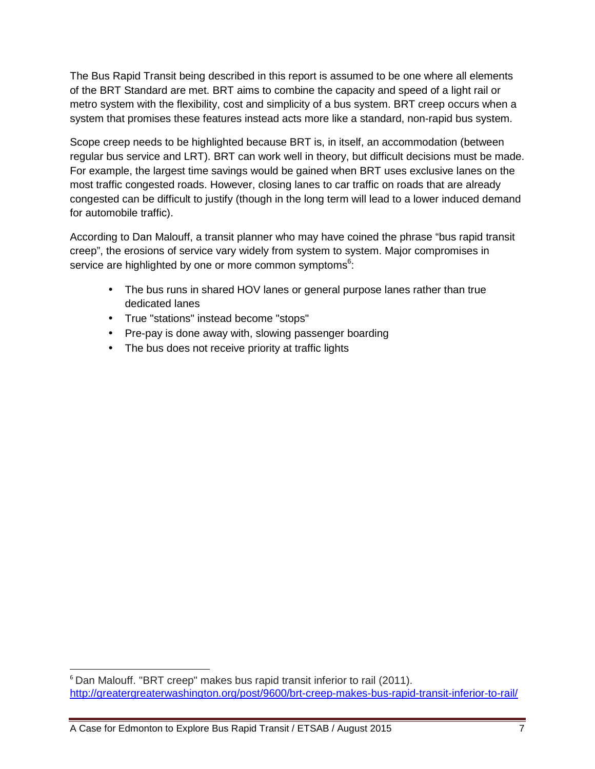The Bus Rapid Transit being described in this report is assumed to be one where all elements of the BRT Standard are met. BRT aims to combine the capacity and speed of a light rail or metro system with the flexibility, cost and simplicity of a bus system. BRT creep occurs when a system that promises these features instead acts more like a standard, non-rapid bus system.

Scope creep needs to be highlighted because BRT is, in itself, an accommodation (between regular bus service and LRT). BRT can work well in theory, but difficult decisions must be made. For example, the largest time savings would be gained when BRT uses exclusive lanes on the most traffic congested roads. However, closing lanes to car traffic on roads that are already congested can be difficult to justify (though in the long term will lead to a lower induced demand for automobile traffic).

According to Dan Malouff, a transit planner who may have coined the phrase "bus rapid transit creep", the erosions of service vary widely from system to system. Major compromises in service are highlighted by one or more common symptoms<sup>6</sup>:

- The bus runs in shared HOV lanes or general purpose lanes rather than true dedicated lanes
- True "stations" instead become "stops"
- Pre-pay is done away with, slowing passenger boarding
- The bus does not receive priority at traffic lights

1

<sup>&</sup>lt;sup>6</sup> Dan Malouff. "BRT creep" makes bus rapid transit inferior to rail (2011). http://greatergreaterwashington.org/post/9600/brt-creep-makes-bus-rapid-transit-inferior-to-rail/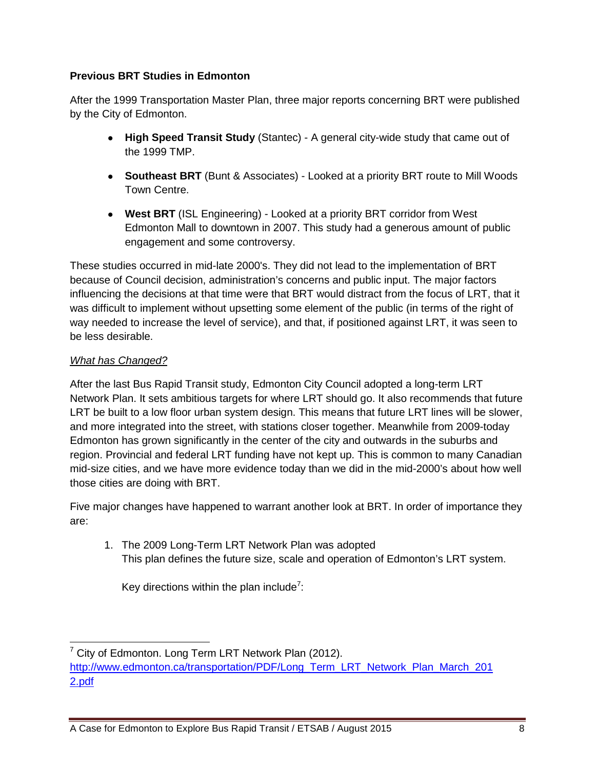#### **Previous BRT Studies in Edmonton**

After the 1999 Transportation Master Plan, three major reports concerning BRT were published by the City of Edmonton.

- **High Speed Transit Study** (Stantec) A general city-wide study that came out of the 1999 TMP.
- **Southeast BRT** (Bunt & Associates) Looked at a priority BRT route to Mill Woods Town Centre.
- **West BRT** (ISL Engineering) Looked at a priority BRT corridor from West Edmonton Mall to downtown in 2007. This study had a generous amount of public engagement and some controversy.

These studies occurred in mid-late 2000's. They did not lead to the implementation of BRT because of Council decision, administration's concerns and public input. The major factors influencing the decisions at that time were that BRT would distract from the focus of LRT, that it was difficult to implement without upsetting some element of the public (in terms of the right of way needed to increase the level of service), and that, if positioned against LRT, it was seen to be less desirable.

#### What has Changed?

After the last Bus Rapid Transit study, Edmonton City Council adopted a long-term LRT Network Plan. It sets ambitious targets for where LRT should go. It also recommends that future LRT be built to a low floor urban system design. This means that future LRT lines will be slower, and more integrated into the street, with stations closer together. Meanwhile from 2009-today Edmonton has grown significantly in the center of the city and outwards in the suburbs and region. Provincial and federal LRT funding have not kept up. This is common to many Canadian mid-size cities, and we have more evidence today than we did in the mid-2000's about how well those cities are doing with BRT.

Five major changes have happened to warrant another look at BRT. In order of importance they are:

1. The 2009 Long-Term LRT Network Plan was adopted This plan defines the future size, scale and operation of Edmonton's LRT system.

Key directions within the plan include<sup>7</sup>:

<sup>&</sup>lt;u>.</u> <sup>7</sup> City of Edmonton. Long Term LRT Network Plan (2012). http://www.edmonton.ca/transportation/PDF/Long\_Term\_LRT\_Network\_Plan\_March\_201 2.pdf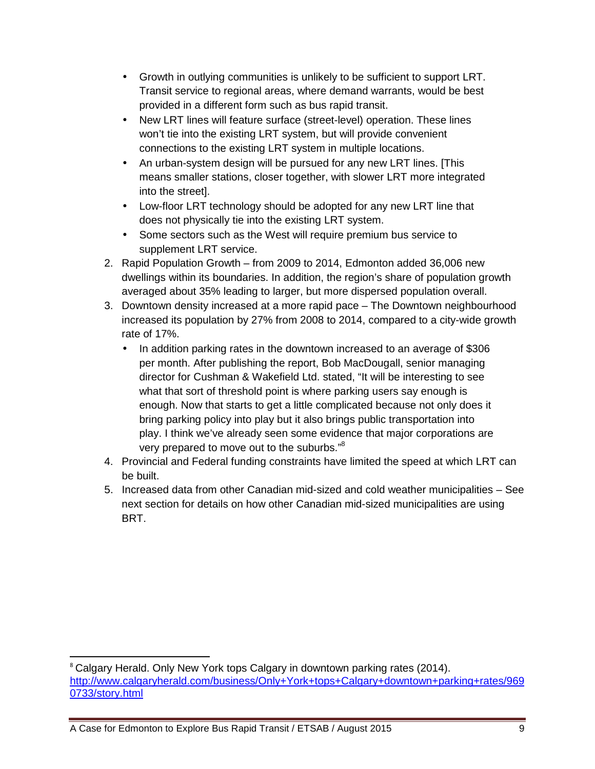- Growth in outlying communities is unlikely to be sufficient to support LRT. Transit service to regional areas, where demand warrants, would be best provided in a different form such as bus rapid transit.
- New LRT lines will feature surface (street-level) operation. These lines won't tie into the existing LRT system, but will provide convenient connections to the existing LRT system in multiple locations.
- An urban-system design will be pursued for any new LRT lines. [This means smaller stations, closer together, with slower LRT more integrated into the street].
- Low-floor LRT technology should be adopted for any new LRT line that does not physically tie into the existing LRT system.
- Some sectors such as the West will require premium bus service to supplement LRT service.
- 2. Rapid Population Growth from 2009 to 2014, Edmonton added 36,006 new dwellings within its boundaries. In addition, the region's share of population growth averaged about 35% leading to larger, but more dispersed population overall.
- 3. Downtown density increased at a more rapid pace The Downtown neighbourhood increased its population by 27% from 2008 to 2014, compared to a city-wide growth rate of 17%.
	- In addition parking rates in the downtown increased to an average of \$306 per month. After publishing the report, Bob MacDougall, senior managing director for Cushman & Wakefield Ltd. stated, "It will be interesting to see what that sort of threshold point is where parking users say enough is enough. Now that starts to get a little complicated because not only does it bring parking policy into play but it also brings public transportation into play. I think we've already seen some evidence that major corporations are very prepared to move out to the suburbs."<sup>8</sup>
- 4. Provincial and Federal funding constraints have limited the speed at which LRT can be built.
- 5. Increased data from other Canadian mid-sized and cold weather municipalities See next section for details on how other Canadian mid-sized municipalities are using BRT.

A Case for Edmonton to Explore Bus Rapid Transit / ETSAB / August 2015 9

-

<sup>&</sup>lt;sup>8</sup> Calgary Herald. Only New York tops Calgary in downtown parking rates (2014). http://www.calgaryherald.com/business/Only+York+tops+Calgary+downtown+parking+rates/969 0733/story.html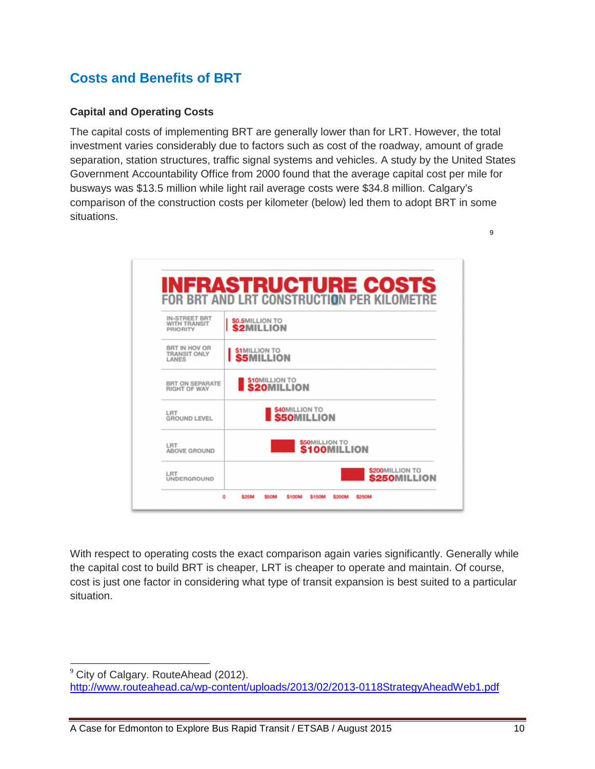## **Costs and Benefits of BRT**

#### **Capital and Operating Costs**

The capital costs of implementing BRT are generally lower than for LRT. However, the total investment varies considerably due to factors such as cost of the roadway, amount of grade separation, station structures, traffic signal systems and vehicles. A study by the United States Government Accountability Office from 2000 found that the average capital cost per mile for busways was \$13.5 million while light rail average costs were \$34.8 million. Calgary's comparison of the construction costs per kilometer (below) led them to adopt BRT in some situations.

9



With respect to operating costs the exact comparison again varies significantly. Generally while the capital cost to build BRT is cheaper, LRT is cheaper to operate and maintain. Of course, cost is just one factor in considering what type of transit expansion is best suited to a particular situation.

l

<sup>&</sup>lt;sup>9</sup> City of Calgary. RouteAhead (2012).

http://www.routeahead.ca/wp-content/uploads/2013/02/2013-0118StrategyAheadWeb1.pdf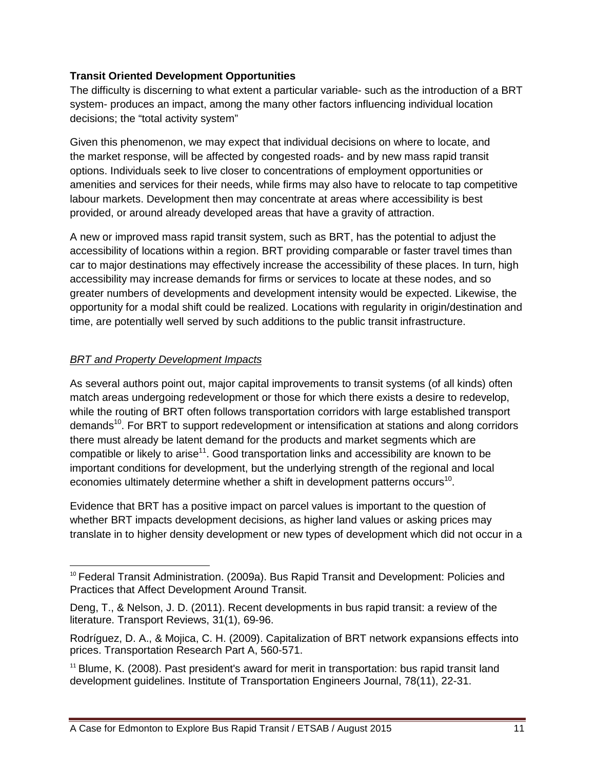#### **Transit Oriented Development Opportunities**

The difficulty is discerning to what extent a particular variable- such as the introduction of a BRT system- produces an impact, among the many other factors influencing individual location decisions; the "total activity system"

Given this phenomenon, we may expect that individual decisions on where to locate, and the market response, will be affected by congested roads- and by new mass rapid transit options. Individuals seek to live closer to concentrations of employment opportunities or amenities and services for their needs, while firms may also have to relocate to tap competitive labour markets. Development then may concentrate at areas where accessibility is best provided, or around already developed areas that have a gravity of attraction.

A new or improved mass rapid transit system, such as BRT, has the potential to adjust the accessibility of locations within a region. BRT providing comparable or faster travel times than car to major destinations may effectively increase the accessibility of these places. In turn, high accessibility may increase demands for firms or services to locate at these nodes, and so greater numbers of developments and development intensity would be expected. Likewise, the opportunity for a modal shift could be realized. Locations with regularity in origin/destination and time, are potentially well served by such additions to the public transit infrastructure.

#### BRT and Property Development Impacts

 $\overline{a}$ 

As several authors point out, major capital improvements to transit systems (of all kinds) often match areas undergoing redevelopment or those for which there exists a desire to redevelop, while the routing of BRT often follows transportation corridors with large established transport demands<sup>10</sup>. For BRT to support redevelopment or intensification at stations and along corridors there must already be latent demand for the products and market segments which are compatible or likely to arise<sup>11</sup>. Good transportation links and accessibility are known to be important conditions for development, but the underlying strength of the regional and local economies ultimately determine whether a shift in development patterns occurs<sup>10</sup>.

Evidence that BRT has a positive impact on parcel values is important to the question of whether BRT impacts development decisions, as higher land values or asking prices may translate in to higher density development or new types of development which did not occur in a

<sup>&</sup>lt;sup>10</sup> Federal Transit Administration. (2009a). Bus Rapid Transit and Development: Policies and Practices that Affect Development Around Transit.

Deng, T., & Nelson, J. D. (2011). Recent developments in bus rapid transit: a review of the literature. Transport Reviews, 31(1), 69-96.

Rodríguez, D. A., & Mojica, C. H. (2009). Capitalization of BRT network expansions effects into prices. Transportation Research Part A, 560-571.

 $11$  Blume, K. (2008). Past president's award for merit in transportation: bus rapid transit land development guidelines. Institute of Transportation Engineers Journal, 78(11), 22-31.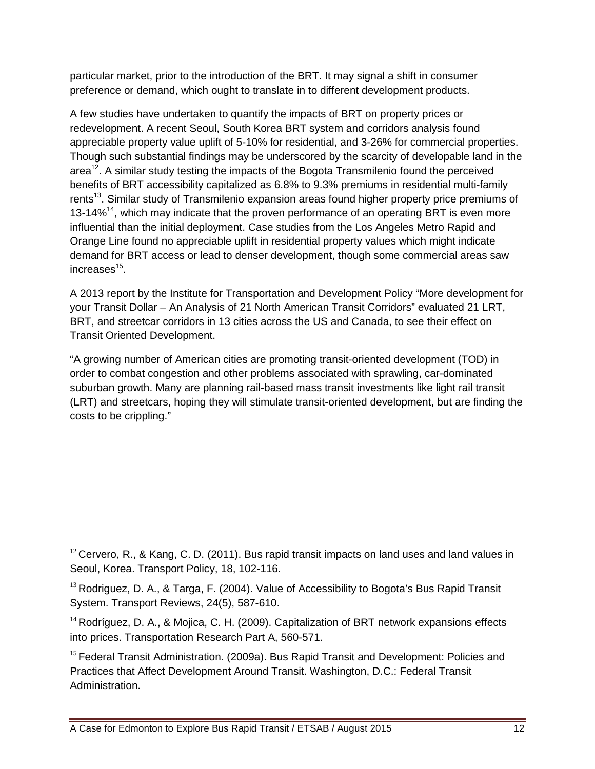particular market, prior to the introduction of the BRT. It may signal a shift in consumer preference or demand, which ought to translate in to different development products.

A few studies have undertaken to quantify the impacts of BRT on property prices or redevelopment. A recent Seoul, South Korea BRT system and corridors analysis found appreciable property value uplift of 5-10% for residential, and 3-26% for commercial properties. Though such substantial findings may be underscored by the scarcity of developable land in the area<sup>12</sup>. A similar study testing the impacts of the Bogota Transmilenio found the perceived benefits of BRT accessibility capitalized as 6.8% to 9.3% premiums in residential multi-family rents<sup>13</sup>. Similar study of Transmilenio expansion areas found higher property price premiums of 13-14%<sup>14</sup>, which may indicate that the proven performance of an operating BRT is even more influential than the initial deployment. Case studies from the Los Angeles Metro Rapid and Orange Line found no appreciable uplift in residential property values which might indicate demand for BRT access or lead to denser development, though some commercial areas saw increases<sup>15</sup>.

A 2013 report by the Institute for Transportation and Development Policy "More development for your Transit Dollar – An Analysis of 21 North American Transit Corridors" evaluated 21 LRT, BRT, and streetcar corridors in 13 cities across the US and Canada, to see their effect on Transit Oriented Development.

"A growing number of American cities are promoting transit-oriented development (TOD) in order to combat congestion and other problems associated with sprawling, car-dominated suburban growth. Many are planning rail-based mass transit investments like light rail transit (LRT) and streetcars, hoping they will stimulate transit-oriented development, but are finding the costs to be crippling."

<sup>&</sup>lt;u>.</u>  $12$  Cervero, R., & Kang, C. D. (2011). Bus rapid transit impacts on land uses and land values in Seoul, Korea. Transport Policy, 18, 102-116.

 $13$  Rodriguez, D. A., & Targa, F. (2004). Value of Accessibility to Bogota's Bus Rapid Transit System. Transport Reviews, 24(5), 587-610.

<sup>&</sup>lt;sup>14</sup> Rodríguez, D. A., & Mojica, C. H. (2009). Capitalization of BRT network expansions effects into prices. Transportation Research Part A, 560-571.

<sup>&</sup>lt;sup>15</sup> Federal Transit Administration. (2009a). Bus Rapid Transit and Development: Policies and Practices that Affect Development Around Transit. Washington, D.C.: Federal Transit Administration.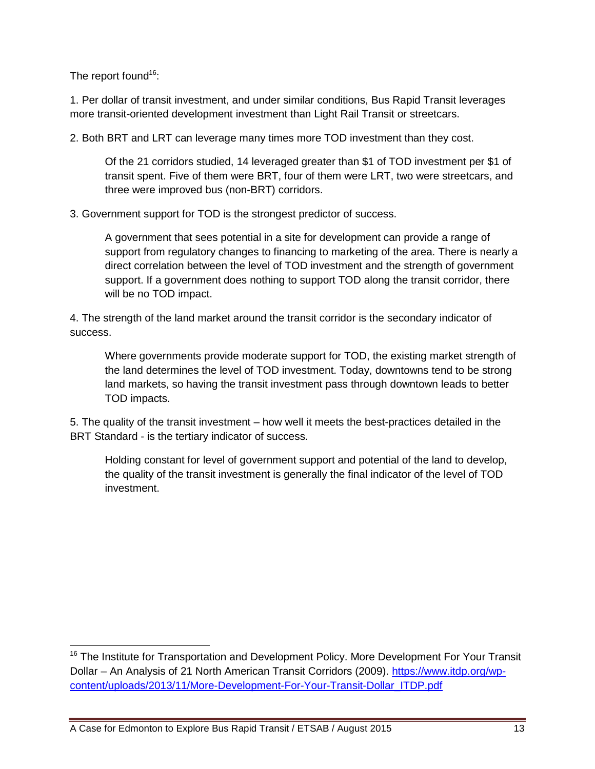The report found<sup>16</sup>:

1. Per dollar of transit investment, and under similar conditions, Bus Rapid Transit leverages more transit-oriented development investment than Light Rail Transit or streetcars.

2. Both BRT and LRT can leverage many times more TOD investment than they cost.

Of the 21 corridors studied, 14 leveraged greater than \$1 of TOD investment per \$1 of transit spent. Five of them were BRT, four of them were LRT, two were streetcars, and three were improved bus (non-BRT) corridors.

3. Government support for TOD is the strongest predictor of success.

A government that sees potential in a site for development can provide a range of support from regulatory changes to financing to marketing of the area. There is nearly a direct correlation between the level of TOD investment and the strength of government support. If a government does nothing to support TOD along the transit corridor, there will be no TOD impact.

4. The strength of the land market around the transit corridor is the secondary indicator of success.

Where governments provide moderate support for TOD, the existing market strength of the land determines the level of TOD investment. Today, downtowns tend to be strong land markets, so having the transit investment pass through downtown leads to better TOD impacts.

5. The quality of the transit investment – how well it meets the best-practices detailed in the BRT Standard - is the tertiary indicator of success.

Holding constant for level of government support and potential of the land to develop, the quality of the transit investment is generally the final indicator of the level of TOD investment.

<sup>1</sup> <sup>16</sup> The Institute for Transportation and Development Policy. More Development For Your Transit Dollar – An Analysis of 21 North American Transit Corridors (2009). https://www.itdp.org/wpcontent/uploads/2013/11/More-Development-For-Your-Transit-Dollar\_ITDP.pdf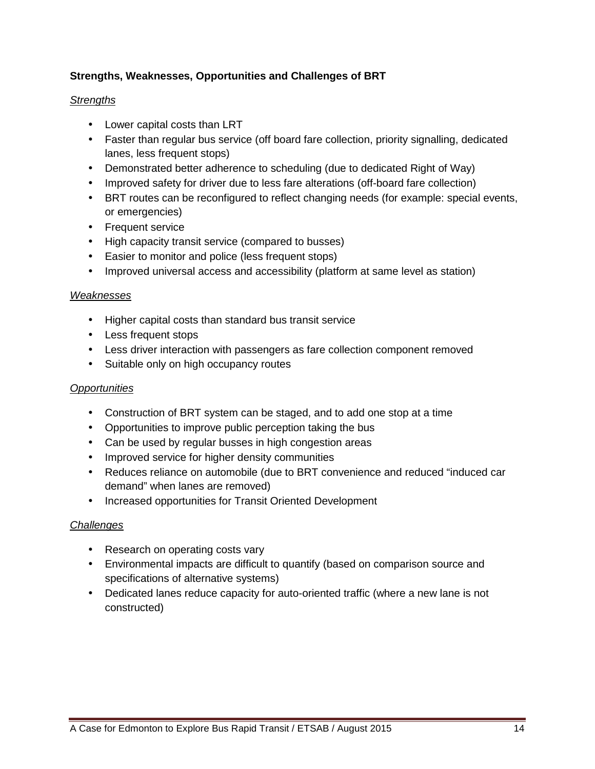#### **Strengths, Weaknesses, Opportunities and Challenges of BRT**

#### **Strengths**

- Lower capital costs than LRT
- Faster than regular bus service (off board fare collection, priority signalling, dedicated lanes, less frequent stops)
- Demonstrated better adherence to scheduling (due to dedicated Right of Way)
- Improved safety for driver due to less fare alterations (off-board fare collection)
- BRT routes can be reconfigured to reflect changing needs (for example: special events, or emergencies)
- Frequent service
- High capacity transit service (compared to busses)
- Easier to monitor and police (less frequent stops)
- Improved universal access and accessibility (platform at same level as station)

#### Weaknesses

- Higher capital costs than standard bus transit service
- Less frequent stops
- Less driver interaction with passengers as fare collection component removed
- Suitable only on high occupancy routes

#### **Opportunities**

- Construction of BRT system can be staged, and to add one stop at a time
- Opportunities to improve public perception taking the bus
- Can be used by regular busses in high congestion areas
- Improved service for higher density communities
- Reduces reliance on automobile (due to BRT convenience and reduced "induced car demand" when lanes are removed)
- Increased opportunities for Transit Oriented Development

#### **Challenges**

- Research on operating costs vary
- Environmental impacts are difficult to quantify (based on comparison source and specifications of alternative systems)
- Dedicated lanes reduce capacity for auto-oriented traffic (where a new lane is not constructed)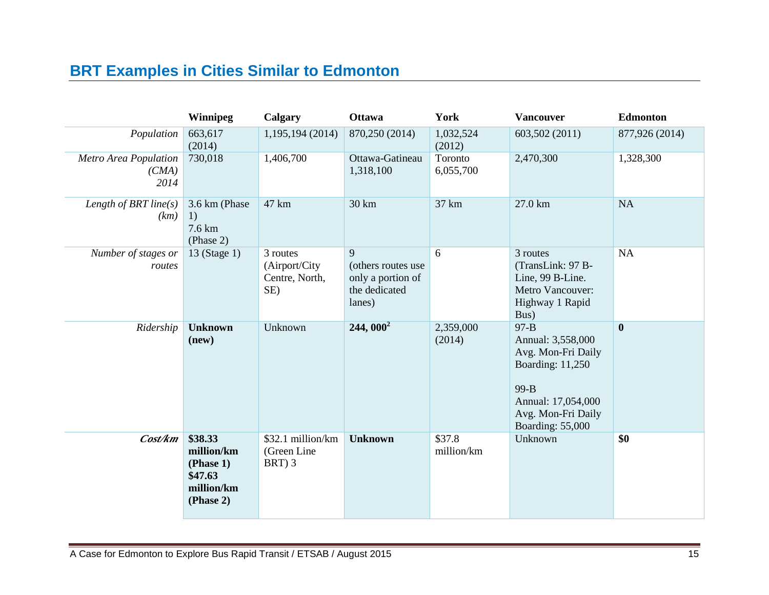## **BRT Examples in Cities Similar to Edmonton**

|                                        | <b>Winnipeg</b>                                                          | Calgary                                            | <b>Ottawa</b>                                                           | York                 | <b>Vancouver</b>                                                                                                                                | <b>Edmonton</b>  |
|----------------------------------------|--------------------------------------------------------------------------|----------------------------------------------------|-------------------------------------------------------------------------|----------------------|-------------------------------------------------------------------------------------------------------------------------------------------------|------------------|
| Population                             | 663,617<br>(2014)                                                        | 1,195,194 (2014)                                   | 870,250 (2014)                                                          | 1,032,524<br>(2012)  | 603,502 (2011)                                                                                                                                  | 877,926 (2014)   |
| Metro Area Population<br>(CMA)<br>2014 | 730,018                                                                  | 1,406,700                                          | Ottawa-Gatineau<br>1,318,100                                            | Toronto<br>6,055,700 | 2,470,300                                                                                                                                       | 1,328,300        |
| Length of BRT line $(s)$<br>(km)       | 3.6 km (Phase<br>1)<br>7.6 km<br>(Phase 2)                               | 47 km                                              | 30 km                                                                   | 37 km                | 27.0 km                                                                                                                                         | NA               |
| Number of stages or<br>routes          | 13 (Stage 1)                                                             | 3 routes<br>(Airport/City<br>Centre, North,<br>SE) | 9<br>(others routes use<br>only a portion of<br>the dedicated<br>lanes) | 6                    | 3 routes<br>(TransLink: 97 B-<br>Line, 99 B-Line.<br>Metro Vancouver:<br>Highway 1 Rapid<br>Bus)                                                | <b>NA</b>        |
| Ridership                              | <b>Unknown</b><br>(new)                                                  | Unknown                                            | $244,000^2$                                                             | 2,359,000<br>(2014)  | $97 - B$<br>Annual: 3,558,000<br>Avg. Mon-Fri Daily<br>Boarding: 11,250<br>99-B<br>Annual: 17,054,000<br>Avg. Mon-Fri Daily<br>Boarding: 55,000 | $\boldsymbol{0}$ |
| Cost/km                                | \$38.33<br>million/km<br>(Phase 1)<br>\$47.63<br>million/km<br>(Phase 2) | \$32.1 million/km<br>(Green Line<br>BRT) 3         | <b>Unknown</b>                                                          | \$37.8<br>million/km | Unknown                                                                                                                                         | \$0              |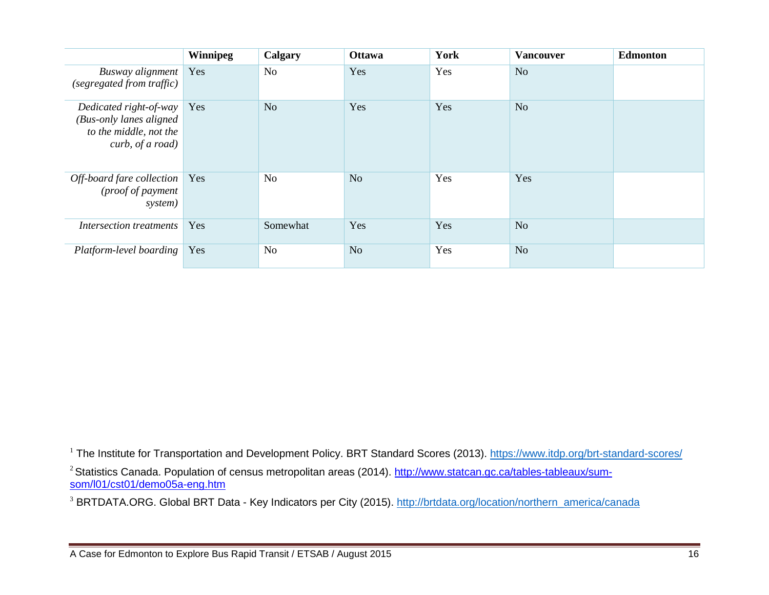|                                                                                                 | <b>Winnipeg</b> | Calgary        | <b>Ottawa</b>  | York | <b>Vancouver</b> | <b>Edmonton</b> |
|-------------------------------------------------------------------------------------------------|-----------------|----------------|----------------|------|------------------|-----------------|
| Busway alignment<br>(segregated from traffic)                                                   | Yes             | N <sub>o</sub> | Yes            | Yes  | N <sub>o</sub>   |                 |
| Dedicated right-of-way<br>(Bus-only lanes aligned<br>to the middle, not the<br>curb, of a road) | Yes             | N <sub>o</sub> | Yes            | Yes  | N <sub>o</sub>   |                 |
| Off-board fare collection<br>(proof of payment<br>system)                                       | Yes             | N <sub>o</sub> | N <sub>o</sub> | Yes  | Yes              |                 |
| Intersection treatments                                                                         | Yes             | Somewhat       | Yes            | Yes  | N <sub>o</sub>   |                 |
| Platform-level boarding                                                                         | Yes             | N <sub>o</sub> | N <sub>o</sub> | Yes  | N <sub>o</sub>   |                 |

 $^{\rm l}$  The Institute for Transportation and Development Policy. BRT Standard Scores (2013). <u>https://www.itdp.org/brt-standard-scores/</u>

<sup>2</sup> Statistics Canada. Population of census metropolitan areas (2014). <u>http://www.statcan.gc.ca/tables-tableaux/sum-</u> som/l01/cst01/demo05a-eng.htm

<sup>3</sup> BRTDATA.ORG. Global BRT Data - Key Indicators per City (2015). http://brtdata.org/location/northern\_america/canada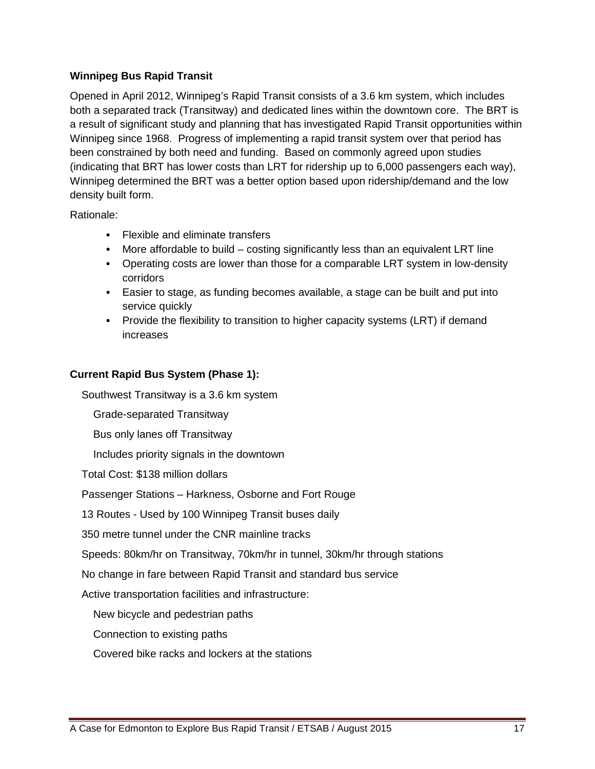#### **Winnipeg Bus Rapid Transit**

Opened in April 2012, Winnipeg's Rapid Transit consists of a 3.6 km system, which includes both a separated track (Transitway) and dedicated lines within the downtown core. The BRT is a result of significant study and planning that has investigated Rapid Transit opportunities within Winnipeg since 1968. Progress of implementing a rapid transit system over that period has been constrained by both need and funding. Based on commonly agreed upon studies (indicating that BRT has lower costs than LRT for ridership up to 6,000 passengers each way), Winnipeg determined the BRT was a better option based upon ridership/demand and the low density built form.

Rationale:

- Flexible and eliminate transfers
- More affordable to build costing significantly less than an equivalent LRT line
- Operating costs are lower than those for a comparable LRT system in low-density corridors
- Easier to stage, as funding becomes available, a stage can be built and put into service quickly
- Provide the flexibility to transition to higher capacity systems (LRT) if demand increases

#### **Current Rapid Bus System (Phase 1):**

Southwest Transitway is a 3.6 km system

Grade-separated Transitway

Bus only lanes off Transitway

Includes priority signals in the downtown

Total Cost: \$138 million dollars

Passenger Stations – Harkness, Osborne and Fort Rouge

13 Routes - Used by 100 Winnipeg Transit buses daily

350 metre tunnel under the CNR mainline tracks

Speeds: 80km/hr on Transitway, 70km/hr in tunnel, 30km/hr through stations

No change in fare between Rapid Transit and standard bus service

Active transportation facilities and infrastructure:

New bicycle and pedestrian paths

Connection to existing paths

Covered bike racks and lockers at the stations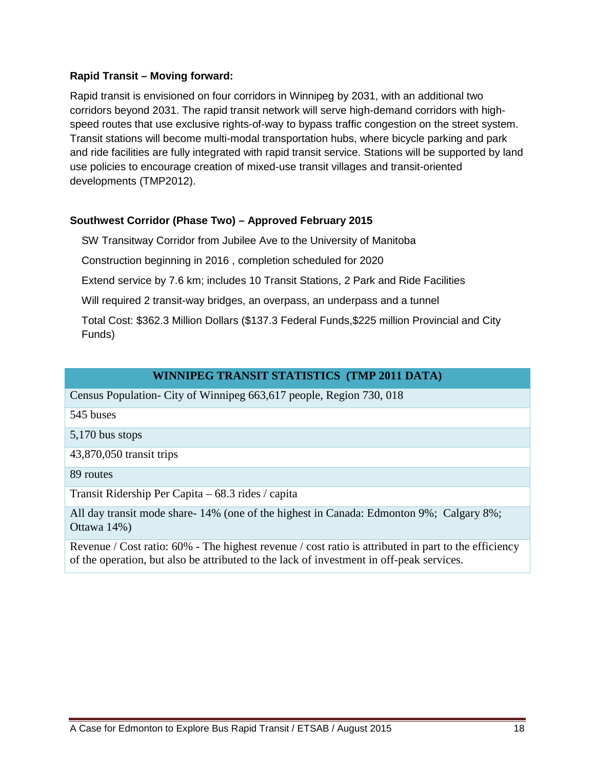#### **Rapid Transit – Moving forward:**

Rapid transit is envisioned on four corridors in Winnipeg by 2031, with an additional two corridors beyond 2031. The rapid transit network will serve high-demand corridors with highspeed routes that use exclusive rights-of-way to bypass traffic congestion on the street system. Transit stations will become multi-modal transportation hubs, where bicycle parking and park and ride facilities are fully integrated with rapid transit service. Stations will be supported by land use policies to encourage creation of mixed-use transit villages and transit-oriented developments (TMP2012).

#### **Southwest Corridor (Phase Two) – Approved February 2015**

SW Transitway Corridor from Jubilee Ave to the University of Manitoba

Construction beginning in 2016 , completion scheduled for 2020

Extend service by 7.6 km; includes 10 Transit Stations, 2 Park and Ride Facilities

Will required 2 transit-way bridges, an overpass, an underpass and a tunnel

Total Cost: \$362.3 Million Dollars (\$137.3 Federal Funds,\$225 million Provincial and City Funds)

#### **WINNIPEG TRANSIT STATISTICS (TMP 2011 DATA)**

Census Population- City of Winnipeg 663,617 people, Region 730, 018

- 545 buses
- 5,170 bus stops

43,870,050 transit trips

89 routes

Transit Ridership Per Capita – 68.3 rides / capita

All day transit mode share- 14% (one of the highest in Canada: Edmonton 9%; Calgary 8%; Ottawa 14%)

Revenue / Cost ratio: 60% - The highest revenue / cost ratio is attributed in part to the efficiency of the operation, but also be attributed to the lack of investment in off-peak services.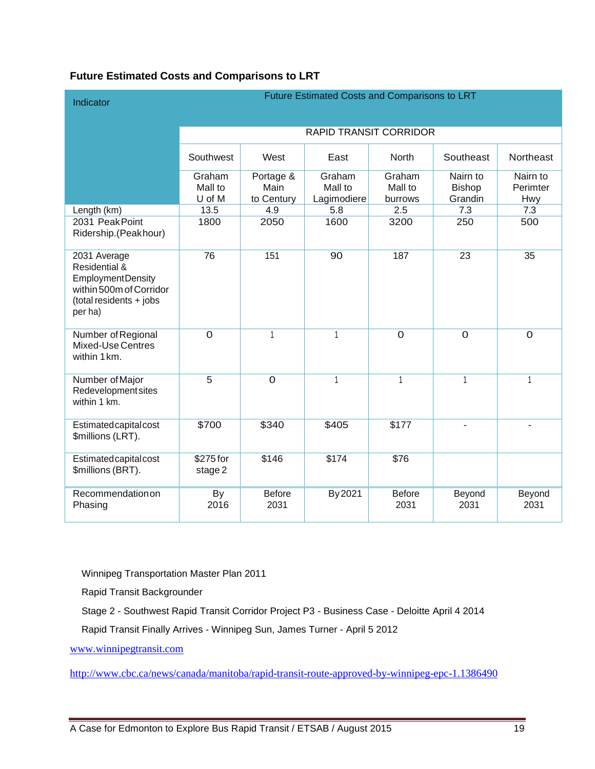#### **Future Estimated Costs and Comparisons to LRT**

| Indicator                                                                                                                  | Future Estimated Costs and Comparisons to LRT |                                 |                                  |                              |                                      |                             |  |  |
|----------------------------------------------------------------------------------------------------------------------------|-----------------------------------------------|---------------------------------|----------------------------------|------------------------------|--------------------------------------|-----------------------------|--|--|
|                                                                                                                            |                                               | <b>RAPID TRANSIT CORRIDOR</b>   |                                  |                              |                                      |                             |  |  |
|                                                                                                                            | Southwest                                     | West                            | East                             | <b>North</b>                 | Southeast                            | Northeast                   |  |  |
|                                                                                                                            | Graham<br>Mall to<br>U of M                   | Portage &<br>Main<br>to Century | Graham<br>Mall to<br>Lagimodiere | Graham<br>Mall to<br>burrows | Nairn to<br><b>Bishop</b><br>Grandin | Nairn to<br>Perimter<br>Hwy |  |  |
| Length (km)                                                                                                                | 13.5                                          | 4.9                             | 5.8                              | 2.5                          | 7.3                                  | 7.3                         |  |  |
| 2031 Peak Point<br>Ridership.(Peakhour)                                                                                    | 1800                                          | 2050                            | 1600                             | 3200                         | 250                                  | 500                         |  |  |
| 2031 Average<br>Residential &<br><b>EmploymentDensity</b><br>within 500m of Corridor<br>(total residents + jobs<br>per ha) | 76                                            | 151                             | 90                               | 187                          | 23                                   | 35                          |  |  |
| Number of Regional<br>Mixed-Use Centres<br>within 1 km.                                                                    | $\overline{0}$                                | $\mathbf{1}$                    | $\mathbf{1}$                     | $\overline{0}$               | $\overline{O}$                       | $\Omega$                    |  |  |
| Number of Major<br>Redevelopment sites<br>within 1 km.                                                                     | $\overline{5}$                                | $\overline{0}$                  | $\mathbf{1}$                     | 1                            | $\mathbf{1}$                         | $\mathbf{1}$                |  |  |
| Estimated capital cost<br>\$millions (LRT).                                                                                | \$700                                         | \$340                           | \$405                            | \$177                        |                                      |                             |  |  |
| Estimated capital cost<br>\$millions (BRT).                                                                                | \$275 for<br>stage 2                          | \$146                           | \$174                            | $\overline{$76}$             |                                      |                             |  |  |
| Recommendationon<br>Phasing                                                                                                | <b>By</b><br>2016                             | <b>Before</b><br>2031           | By 2021                          | <b>Before</b><br>2031        | Beyond<br>2031                       | Beyond<br>2031              |  |  |

Winnipeg Transportation Master Plan 2011

Rapid Transit Backgrounder

Stage 2 - Southwest Rapid Transit Corridor Project P3 - Business Case - Deloitte April 4 2014

Rapid Transit Finally Arrives - Winnipeg Sun, James Turner - April 5 2012

www.winnipegtransit.com

http://www.cbc.ca/news/canada/manitoba/rapid-transit-route-approved-by-winnipeg-epc-1.1386490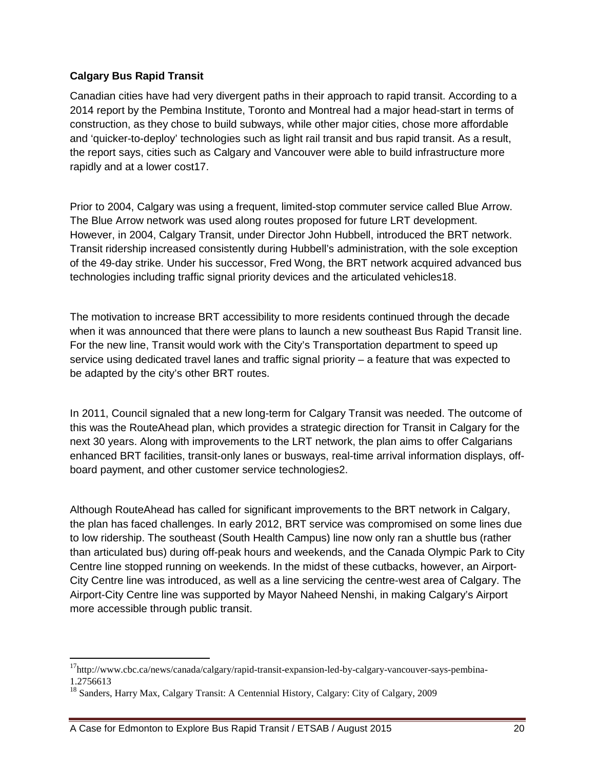#### **Calgary Bus Rapid Transit**

Canadian cities have had very divergent paths in their approach to rapid transit. According to a 2014 report by the Pembina Institute, Toronto and Montreal had a major head-start in terms of construction, as they chose to build subways, while other major cities, chose more affordable and 'quicker-to-deploy' technologies such as light rail transit and bus rapid transit. As a result, the report says, cities such as Calgary and Vancouver were able to build infrastructure more rapidly and at a lower cost17.

Prior to 2004, Calgary was using a frequent, limited-stop commuter service called Blue Arrow. The Blue Arrow network was used along routes proposed for future LRT development. However, in 2004, Calgary Transit, under Director John Hubbell, introduced the BRT network. Transit ridership increased consistently during Hubbell's administration, with the sole exception of the 49-day strike. Under his successor, Fred Wong, the BRT network acquired advanced bus technologies including traffic signal priority devices and the articulated vehicles18.

The motivation to increase BRT accessibility to more residents continued through the decade when it was announced that there were plans to launch a new southeast Bus Rapid Transit line. For the new line, Transit would work with the City's Transportation department to speed up service using dedicated travel lanes and traffic signal priority – a feature that was expected to be adapted by the city's other BRT routes.

In 2011, Council signaled that a new long-term for Calgary Transit was needed. The outcome of this was the RouteAhead plan, which provides a strategic direction for Transit in Calgary for the next 30 years. Along with improvements to the LRT network, the plan aims to offer Calgarians enhanced BRT facilities, transit-only lanes or busways, real-time arrival information displays, offboard payment, and other customer service technologies2.

Although RouteAhead has called for significant improvements to the BRT network in Calgary, the plan has faced challenges. In early 2012, BRT service was compromised on some lines due to low ridership. The southeast (South Health Campus) line now only ran a shuttle bus (rather than articulated bus) during off-peak hours and weekends, and the Canada Olympic Park to City Centre line stopped running on weekends. In the midst of these cutbacks, however, an Airport-City Centre line was introduced, as well as a line servicing the centre-west area of Calgary. The Airport-City Centre line was supported by Mayor Naheed Nenshi, in making Calgary's Airport more accessible through public transit.

-

<sup>&</sup>lt;sup>17</sup>http://www.cbc.ca/news/canada/calgary/rapid-transit-expansion-led-by-calgary-vancouver-says-pembina-1.2756613

<sup>&</sup>lt;sup>18</sup> Sanders, Harry Max, Calgary Transit: A Centennial History, Calgary: City of Calgary, 2009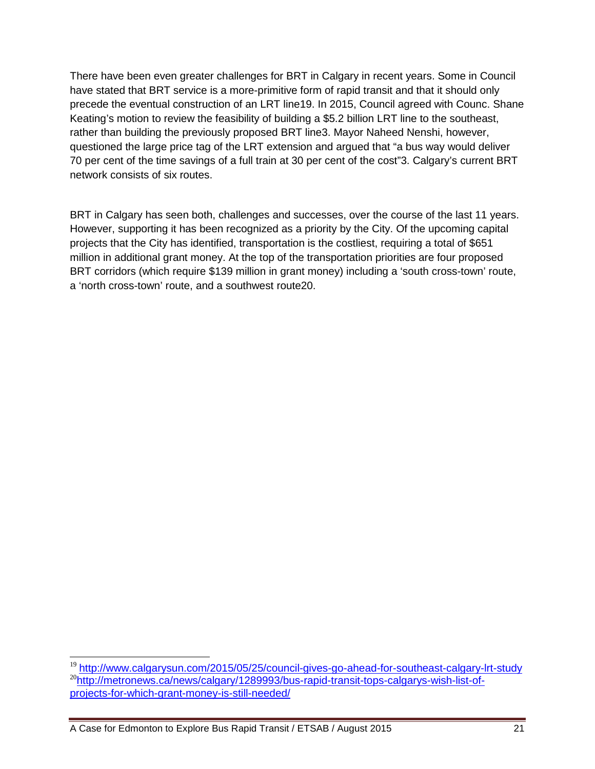There have been even greater challenges for BRT in Calgary in recent years. Some in Council have stated that BRT service is a more-primitive form of rapid transit and that it should only precede the eventual construction of an LRT line19. In 2015, Council agreed with Counc. Shane Keating's motion to review the feasibility of building a \$5.2 billion LRT line to the southeast, rather than building the previously proposed BRT line3. Mayor Naheed Nenshi, however, questioned the large price tag of the LRT extension and argued that "a bus way would deliver 70 per cent of the time savings of a full train at 30 per cent of the cost"3. Calgary's current BRT network consists of six routes.

BRT in Calgary has seen both, challenges and successes, over the course of the last 11 years. However, supporting it has been recognized as a priority by the City. Of the upcoming capital projects that the City has identified, transportation is the costliest, requiring a total of \$651 million in additional grant money. At the top of the transportation priorities are four proposed BRT corridors (which require \$139 million in grant money) including a 'south cross-town' route, a 'north cross-town' route, and a southwest route20.

A Case for Edmonton to Explore Bus Rapid Transit / ETSAB / August 2015 21

-

<sup>&</sup>lt;sup>19</sup> http://www.calgarysun.com/2015/05/25/council-gives-go-ahead-for-southeast-calgary-lrt-study <sup>20</sup>http://metronews.ca/news/calgary/1289993/bus-rapid-transit-tops-calgarys-wish-list-ofprojects-for-which-grant-money-is-still-needed/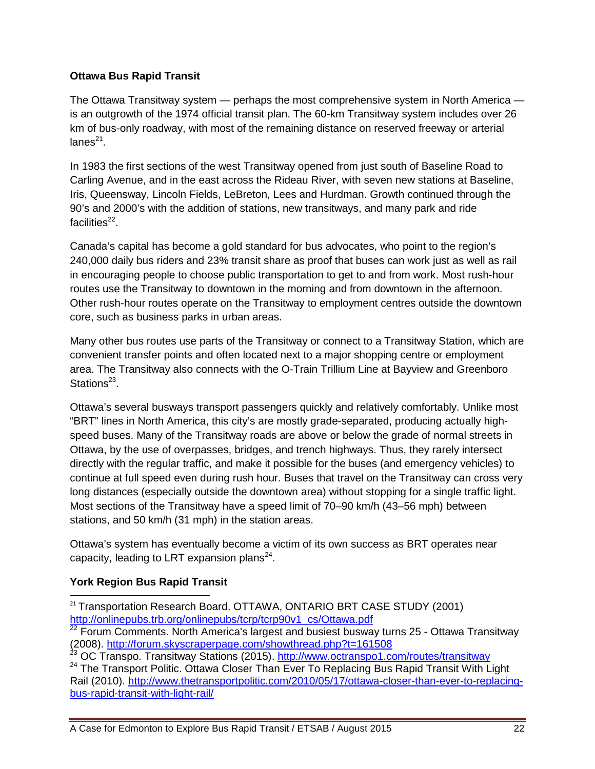#### **Ottawa Bus Rapid Transit**

The Ottawa Transitway system — perhaps the most comprehensive system in North America is an outgrowth of the 1974 official transit plan. The 60-km Transitway system includes over 26 km of bus-only roadway, with most of the remaining distance on reserved freeway or arterial lanes $^{21}$ .

In 1983 the first sections of the west Transitway opened from just south of Baseline Road to Carling Avenue, and in the east across the Rideau River, with seven new stations at Baseline, Iris, Queensway, Lincoln Fields, LeBreton, Lees and Hurdman. Growth continued through the 90's and 2000's with the addition of stations, new transitways, and many park and ride facilities<sup>22</sup>.

Canada's capital has become a gold standard for bus advocates, who point to the region's 240,000 daily bus riders and 23% transit share as proof that buses can work just as well as rail in encouraging people to choose public transportation to get to and from work. Most rush-hour routes use the Transitway to downtown in the morning and from downtown in the afternoon. Other rush-hour routes operate on the Transitway to employment centres outside the downtown core, such as business parks in urban areas.

Many other bus routes use parts of the Transitway or connect to a Transitway Station, which are convenient transfer points and often located next to a major shopping centre or employment area. The Transitway also connects with the O-Train Trillium Line at Bayview and Greenboro Stations<sup>23</sup>.

Ottawa's several busways transport passengers quickly and relatively comfortably. Unlike most "BRT" lines in North America, this city's are mostly grade-separated, producing actually highspeed buses. Many of the Transitway roads are above or below the grade of normal streets in Ottawa, by the use of overpasses, bridges, and trench highways. Thus, they rarely intersect directly with the regular traffic, and make it possible for the buses (and emergency vehicles) to continue at full speed even during rush hour. Buses that travel on the Transitway can cross very long distances (especially outside the downtown area) without stopping for a single traffic light. Most sections of the Transitway have a speed limit of 70–90 km/h (43–56 mph) between stations, and 50 km/h (31 mph) in the station areas.

Ottawa's system has eventually become a victim of its own success as BRT operates near capacity, leading to LRT expansion plans $^{24}$ .

#### **York Region Bus Rapid Transit**

 $\overline{a}$ 

<sup>21</sup> Transportation Research Board. OTTAWA, ONTARIO BRT CASE STUDY (2001) http://onlinepubs.trb.org/onlinepubs/tcrp/tcrp90v1\_cs/Ottawa.pdf

 $22$  Forum Comments. North America's largest and busiest busway turns 25 - Ottawa Transitway (2008). http://forum.skyscraperpage.com/showthread.php?t=161508<br>23 OC Transpo, Transitive Compage.com/showthread.php?t=161508

<sup>23</sup> OC Transpo. Transitway Stations (2015). http://www.octranspo1.com/routes/transitway

<sup>&</sup>lt;sup>24</sup> The Transport Politic. Ottawa Closer Than Ever To Replacing Bus Rapid Transit With Light Rail (2010). http://www.thetransportpolitic.com/2010/05/17/ottawa-closer-than-ever-to-replacingbus-rapid-transit-with-light-rail/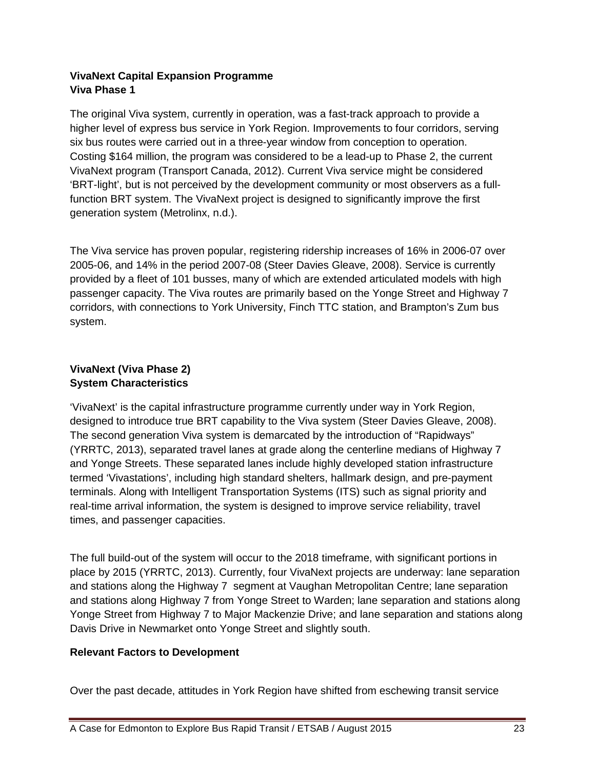#### **VivaNext Capital Expansion Programme Viva Phase 1**

The original Viva system, currently in operation, was a fast-track approach to provide a higher level of express bus service in York Region. Improvements to four corridors, serving six bus routes were carried out in a three-year window from conception to operation. Costing \$164 million, the program was considered to be a lead-up to Phase 2, the current VivaNext program (Transport Canada, 2012). Current Viva service might be considered 'BRT-light', but is not perceived by the development community or most observers as a fullfunction BRT system. The VivaNext project is designed to significantly improve the first generation system (Metrolinx, n.d.).

The Viva service has proven popular, registering ridership increases of 16% in 2006-07 over 2005-06, and 14% in the period 2007-08 (Steer Davies Gleave, 2008). Service is currently provided by a fleet of 101 busses, many of which are extended articulated models with high passenger capacity. The Viva routes are primarily based on the Yonge Street and Highway 7 corridors, with connections to York University, Finch TTC station, and Brampton's Zum bus system.

#### **VivaNext (Viva Phase 2) System Characteristics**

'VivaNext' is the capital infrastructure programme currently under way in York Region, designed to introduce true BRT capability to the Viva system (Steer Davies Gleave, 2008). The second generation Viva system is demarcated by the introduction of "Rapidways" (YRRTC, 2013), separated travel lanes at grade along the centerline medians of Highway 7 and Yonge Streets. These separated lanes include highly developed station infrastructure termed 'Vivastations', including high standard shelters, hallmark design, and pre-payment terminals. Along with Intelligent Transportation Systems (ITS) such as signal priority and real-time arrival information, the system is designed to improve service reliability, travel times, and passenger capacities.

The full build-out of the system will occur to the 2018 timeframe, with significant portions in place by 2015 (YRRTC, 2013). Currently, four VivaNext projects are underway: lane separation and stations along the Highway 7 segment at Vaughan Metropolitan Centre; lane separation and stations along Highway 7 from Yonge Street to Warden; lane separation and stations along Yonge Street from Highway 7 to Major Mackenzie Drive; and lane separation and stations along Davis Drive in Newmarket onto Yonge Street and slightly south.

#### **Relevant Factors to Development**

Over the past decade, attitudes in York Region have shifted from eschewing transit service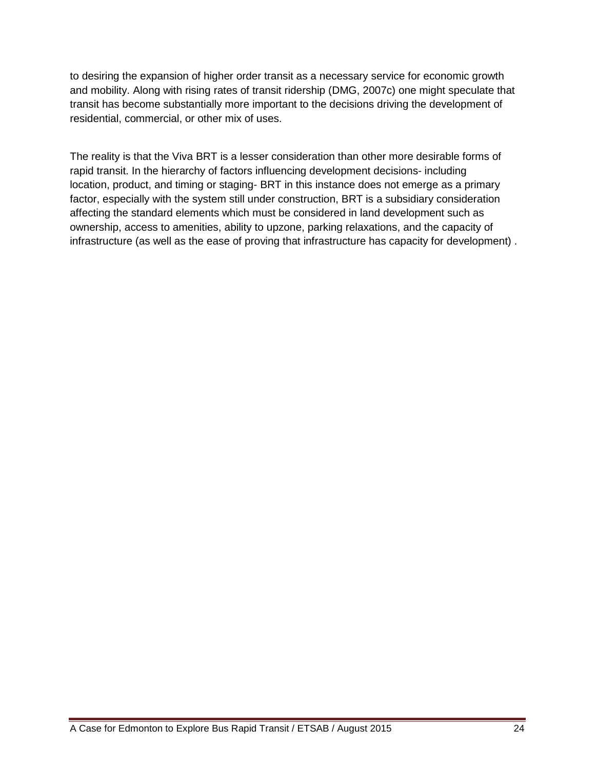to desiring the expansion of higher order transit as a necessary service for economic growth and mobility. Along with rising rates of transit ridership (DMG, 2007c) one might speculate that transit has become substantially more important to the decisions driving the development of residential, commercial, or other mix of uses.

The reality is that the Viva BRT is a lesser consideration than other more desirable forms of rapid transit. In the hierarchy of factors influencing development decisions- including location, product, and timing or staging- BRT in this instance does not emerge as a primary factor, especially with the system still under construction, BRT is a subsidiary consideration affecting the standard elements which must be considered in land development such as ownership, access to amenities, ability to upzone, parking relaxations, and the capacity of infrastructure (as well as the ease of proving that infrastructure has capacity for development) .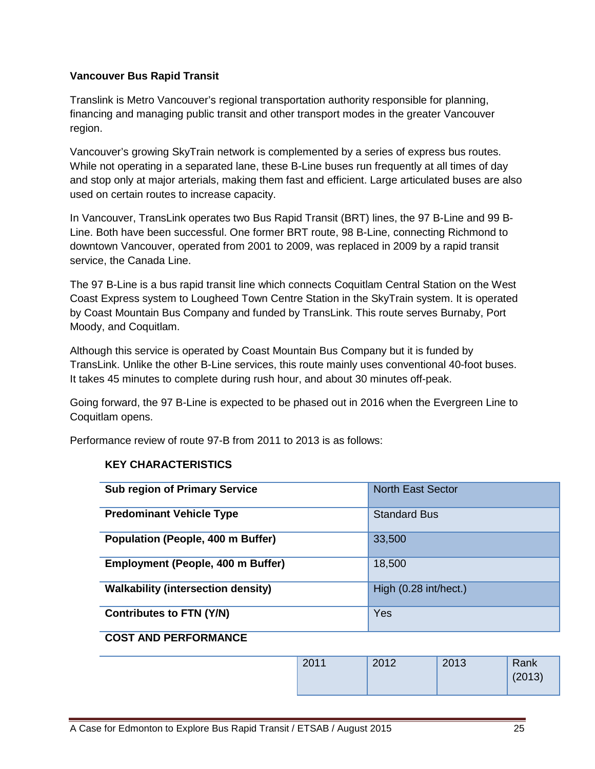#### **Vancouver Bus Rapid Transit**

Translink is Metro Vancouver's regional transportation authority responsible for planning, financing and managing public transit and other transport modes in the greater Vancouver region.

Vancouver's growing SkyTrain network is complemented by a series of express bus routes. While not operating in a separated lane, these B-Line buses run frequently at all times of day and stop only at major arterials, making them fast and efficient. Large articulated buses are also used on certain routes to increase capacity.

In Vancouver, TransLink operates two Bus Rapid Transit (BRT) lines, the 97 B-Line and 99 B-Line. Both have been successful. One former BRT route, 98 B-Line, connecting Richmond to downtown Vancouver, operated from 2001 to 2009, was replaced in 2009 by a rapid transit service, the Canada Line.

The 97 B-Line is a bus rapid transit line which connects Coquitlam Central Station on the West Coast Express system to Lougheed Town Centre Station in the SkyTrain system. It is operated by Coast Mountain Bus Company and funded by TransLink. This route serves Burnaby, Port Moody, and Coquitlam.

Although this service is operated by Coast Mountain Bus Company but it is funded by TransLink. Unlike the other B-Line services, this route mainly uses conventional 40-foot buses. It takes 45 minutes to complete during rush hour, and about 30 minutes off-peak.

Going forward, the 97 B-Line is expected to be phased out in 2016 when the Evergreen Line to Coquitlam opens.

Performance review of route 97-B from 2011 to 2013 is as follows:

| <b>Sub region of Primary Service</b>      | <b>North East Sector</b> |
|-------------------------------------------|--------------------------|
| <b>Predominant Vehicle Type</b>           | <b>Standard Bus</b>      |
| Population (People, 400 m Buffer)         | 33,500                   |
| <b>Employment (People, 400 m Buffer)</b>  | 18,500                   |
| <b>Walkability (intersection density)</b> | High (0.28 int/hect.)    |
| <b>Contributes to FTN (Y/N)</b>           | Yes                      |

#### **KEY CHARACTERISTICS**

#### **COST AND PERFORMANCE**

| 2011 | 2012 | 2013 | Rank   |
|------|------|------|--------|
|      |      |      | (2013) |
|      |      |      |        |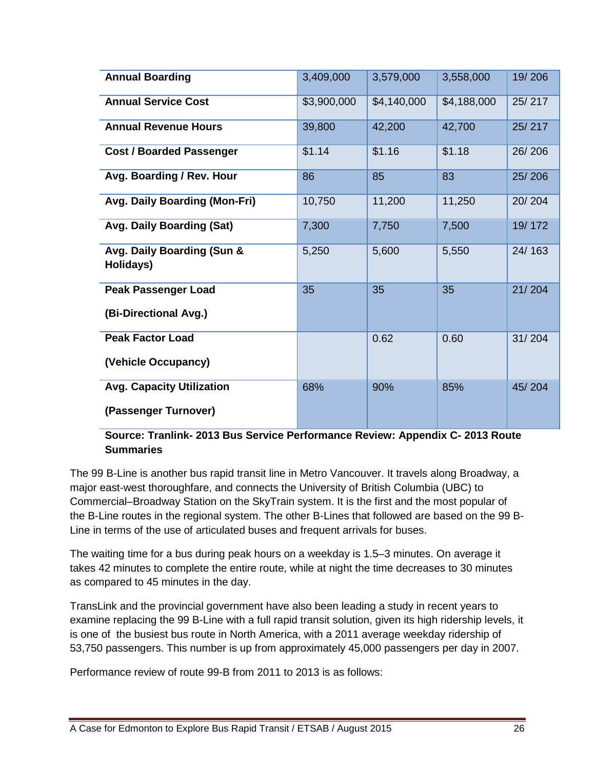| <b>Annual Boarding</b>                  | 3,409,000   | 3,579,000   | 3,558,000   | 19/206 |
|-----------------------------------------|-------------|-------------|-------------|--------|
| <b>Annual Service Cost</b>              | \$3,900,000 | \$4,140,000 | \$4,188,000 | 25/217 |
| <b>Annual Revenue Hours</b>             | 39,800      | 42,200      | 42,700      | 25/217 |
| <b>Cost / Boarded Passenger</b>         | \$1.14      | \$1.16      | \$1.18      | 26/206 |
| Avg. Boarding / Rev. Hour               | 86          | 85          | 83          | 25/206 |
| Avg. Daily Boarding (Mon-Fri)           | 10,750      | 11,200      | 11,250      | 20/204 |
| Avg. Daily Boarding (Sat)               | 7,300       | 7,750       | 7,500       | 19/172 |
| Avg. Daily Boarding (Sun &<br>Holidays) | 5,250       | 5,600       | 5,550       | 24/163 |
| <b>Peak Passenger Load</b>              | 35          | 35          | 35          | 21/204 |
| (Bi-Directional Avg.)                   |             |             |             |        |
| <b>Peak Factor Load</b>                 |             | 0.62        | 0.60        | 31/204 |
| (Vehicle Occupancy)                     |             |             |             |        |
| <b>Avg. Capacity Utilization</b>        | 68%         | 90%         | 85%         | 45/204 |
| (Passenger Turnover)                    |             |             |             |        |

#### **Source: Tranlink- 2013 Bus Service Performance Review: Appendix C- 2013 Route Summaries**

The 99 B-Line is another bus rapid transit line in Metro Vancouver. It travels along Broadway, a major east-west thoroughfare, and connects the University of British Columbia (UBC) to Commercial–Broadway Station on the SkyTrain system. It is the first and the most popular of the B-Line routes in the regional system. The other B-Lines that followed are based on the 99 B-Line in terms of the use of articulated buses and frequent arrivals for buses.

The waiting time for a bus during peak hours on a weekday is 1.5–3 minutes. On average it takes 42 minutes to complete the entire route, while at night the time decreases to 30 minutes as compared to 45 minutes in the day.

TransLink and the provincial government have also been leading a study in recent years to examine replacing the 99 B-Line with a full rapid transit solution, given its high ridership levels, it is one of the busiest bus route in North America, with a 2011 average weekday ridership of 53,750 passengers. This number is up from approximately 45,000 passengers per day in 2007.

Performance review of route 99-B from 2011 to 2013 is as follows: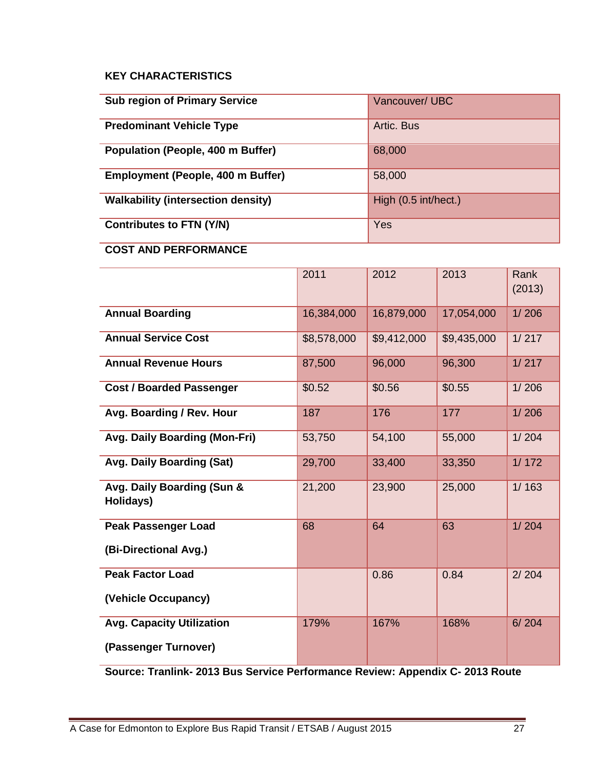#### **KEY CHARACTERISTICS**

| <b>Sub region of Primary Service</b>      | Vancouver/ UBC       |
|-------------------------------------------|----------------------|
| <b>Predominant Vehicle Type</b>           | Artic. Bus           |
| <b>Population (People, 400 m Buffer)</b>  | 68,000               |
| <b>Employment (People, 400 m Buffer)</b>  | 58,000               |
| <b>Walkability (intersection density)</b> | High (0.5 int/hect.) |
| <b>Contributes to FTN (Y/N)</b>           | Yes                  |

### **COST AND PERFORMANCE**

|                                         | 2011        | 2012        | 2013        | Rank<br>(2013) |
|-----------------------------------------|-------------|-------------|-------------|----------------|
| <b>Annual Boarding</b>                  | 16,384,000  | 16,879,000  | 17,054,000  | 1/206          |
| <b>Annual Service Cost</b>              | \$8,578,000 | \$9,412,000 | \$9,435,000 | 1/217          |
| <b>Annual Revenue Hours</b>             | 87,500      | 96,000      | 96,300      | 1/217          |
| <b>Cost / Boarded Passenger</b>         | \$0.52      | \$0.56      | \$0.55      | 1/206          |
| Avg. Boarding / Rev. Hour               | 187         | 176         | 177         | 1/206          |
| Avg. Daily Boarding (Mon-Fri)           | 53,750      | 54,100      | 55,000      | 1/204          |
| Avg. Daily Boarding (Sat)               | 29,700      | 33,400      | 33,350      | 1/172          |
| Avg. Daily Boarding (Sun &<br>Holidays) | 21,200      | 23,900      | 25,000      | 1/163          |
| <b>Peak Passenger Load</b>              | 68          | 64          | 63          | 1/204          |
| (Bi-Directional Avg.)                   |             |             |             |                |
| <b>Peak Factor Load</b>                 |             | 0.86        | 0.84        | 2/204          |
| (Vehicle Occupancy)                     |             |             |             |                |
| <b>Avg. Capacity Utilization</b>        | 179%        | 167%        | 168%        | 6/204          |
| (Passenger Turnover)                    |             |             |             |                |

**Source: Tranlink- 2013 Bus Service Performance Review: Appendix C- 2013 Route**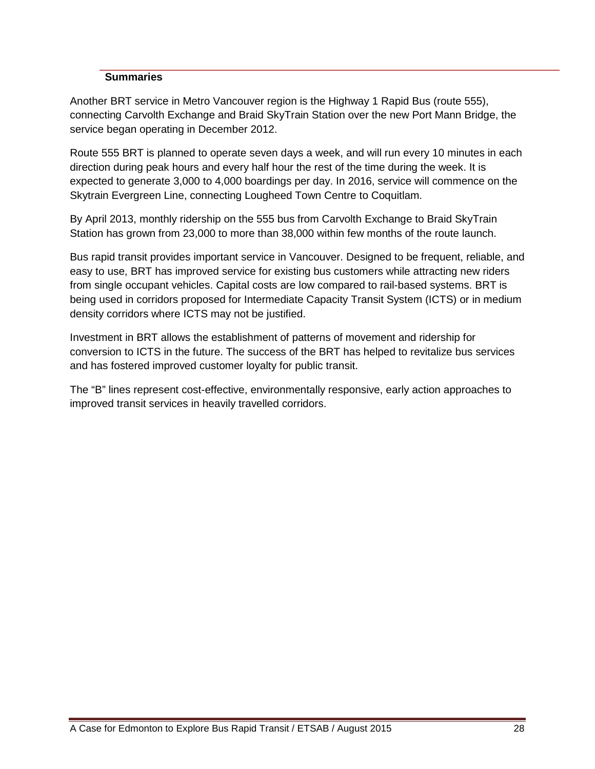#### **Summaries**

Another BRT service in Metro Vancouver region is the Highway 1 Rapid Bus (route 555), connecting Carvolth Exchange and Braid SkyTrain Station over the new Port Mann Bridge, the service began operating in December 2012.

Route 555 BRT is planned to operate seven days a week, and will run every 10 minutes in each direction during peak hours and every half hour the rest of the time during the week. It is expected to generate 3,000 to 4,000 boardings per day. In 2016, service will commence on the Skytrain Evergreen Line, connecting Lougheed Town Centre to Coquitlam.

By April 2013, monthly ridership on the 555 bus from Carvolth Exchange to Braid SkyTrain Station has grown from 23,000 to more than 38,000 within few months of the route launch.

Bus rapid transit provides important service in Vancouver. Designed to be frequent, reliable, and easy to use, BRT has improved service for existing bus customers while attracting new riders from single occupant vehicles. Capital costs are low compared to rail-based systems. BRT is being used in corridors proposed for Intermediate Capacity Transit System (ICTS) or in medium density corridors where ICTS may not be justified.

Investment in BRT allows the establishment of patterns of movement and ridership for conversion to ICTS in the future. The success of the BRT has helped to revitalize bus services and has fostered improved customer loyalty for public transit.

The "B" lines represent cost-effective, environmentally responsive, early action approaches to improved transit services in heavily travelled corridors.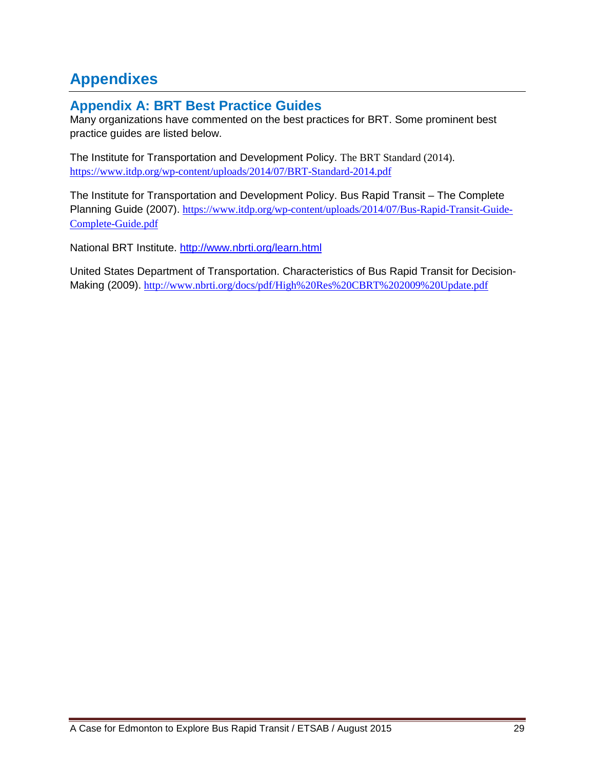## **Appendixes**

## **Appendix A: BRT Best Practice Guides**

Many organizations have commented on the best practices for BRT. Some prominent best practice guides are listed below.

The Institute for Transportation and Development Policy. The BRT Standard (2014). https://www.itdp.org/wp-content/uploads/2014/07/BRT-Standard-2014.pdf

The Institute for Transportation and Development Policy. Bus Rapid Transit – The Complete Planning Guide (2007). https://www.itdp.org/wp-content/uploads/2014/07/Bus-Rapid-Transit-Guide-Complete-Guide.pdf

National BRT Institute. http://www.nbrti.org/learn.html

United States Department of Transportation. Characteristics of Bus Rapid Transit for Decision-Making (2009). http://www.nbrti.org/docs/pdf/High%20Res%20CBRT%202009%20Update.pdf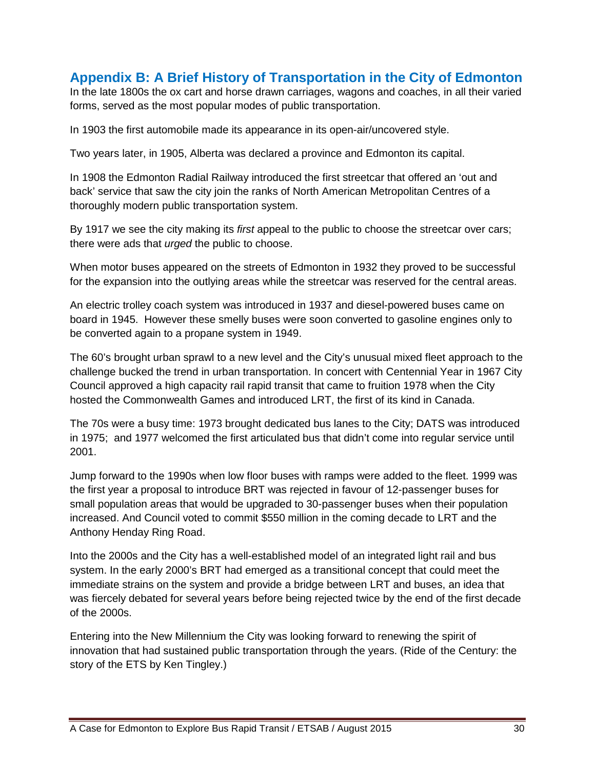### **Appendix B: A Brief History of Transportation in the City of Edmonton**

In the late 1800s the ox cart and horse drawn carriages, wagons and coaches, in all their varied forms, served as the most popular modes of public transportation.

In 1903 the first automobile made its appearance in its open-air/uncovered style.

Two years later, in 1905, Alberta was declared a province and Edmonton its capital.

In 1908 the Edmonton Radial Railway introduced the first streetcar that offered an 'out and back' service that saw the city join the ranks of North American Metropolitan Centres of a thoroughly modern public transportation system.

By 1917 we see the city making its first appeal to the public to choose the streetcar over cars; there were ads that *urged* the public to choose.

When motor buses appeared on the streets of Edmonton in 1932 they proved to be successful for the expansion into the outlying areas while the streetcar was reserved for the central areas.

An electric trolley coach system was introduced in 1937 and diesel-powered buses came on board in 1945. However these smelly buses were soon converted to gasoline engines only to be converted again to a propane system in 1949.

The 60's brought urban sprawl to a new level and the City's unusual mixed fleet approach to the challenge bucked the trend in urban transportation. In concert with Centennial Year in 1967 City Council approved a high capacity rail rapid transit that came to fruition 1978 when the City hosted the Commonwealth Games and introduced LRT, the first of its kind in Canada.

The 70s were a busy time: 1973 brought dedicated bus lanes to the City; DATS was introduced in 1975; and 1977 welcomed the first articulated bus that didn't come into regular service until 2001.

Jump forward to the 1990s when low floor buses with ramps were added to the fleet. 1999 was the first year a proposal to introduce BRT was rejected in favour of 12-passenger buses for small population areas that would be upgraded to 30-passenger buses when their population increased. And Council voted to commit \$550 million in the coming decade to LRT and the Anthony Henday Ring Road.

Into the 2000s and the City has a well-established model of an integrated light rail and bus system. In the early 2000's BRT had emerged as a transitional concept that could meet the immediate strains on the system and provide a bridge between LRT and buses, an idea that was fiercely debated for several years before being rejected twice by the end of the first decade of the 2000s.

Entering into the New Millennium the City was looking forward to renewing the spirit of innovation that had sustained public transportation through the years. (Ride of the Century: the story of the ETS by Ken Tingley.)